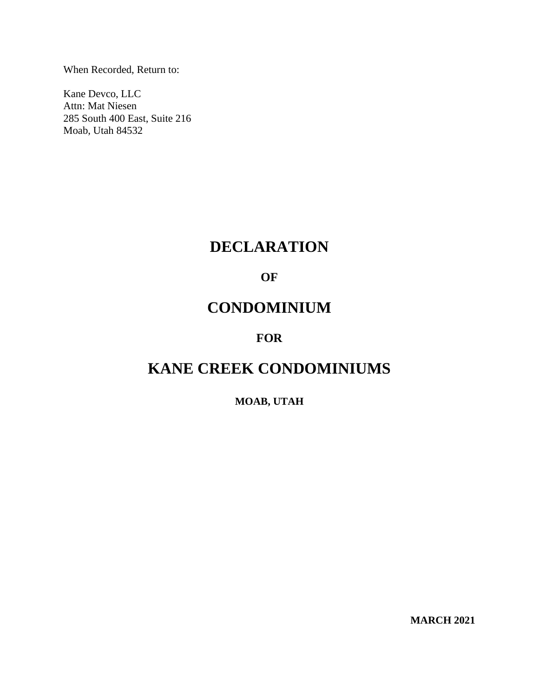When Recorded, Return to:

Kane Devco, LLC Attn: Mat Niesen 285 South 400 East, Suite 216 Moab, Utah 84532

# **DECLARATION**

# **OF**

# **CONDOMINIUM**

# **FOR**

# **KANE CREEK CONDOMINIUMS**

# **MOAB, UTAH**

**MARCH 2021**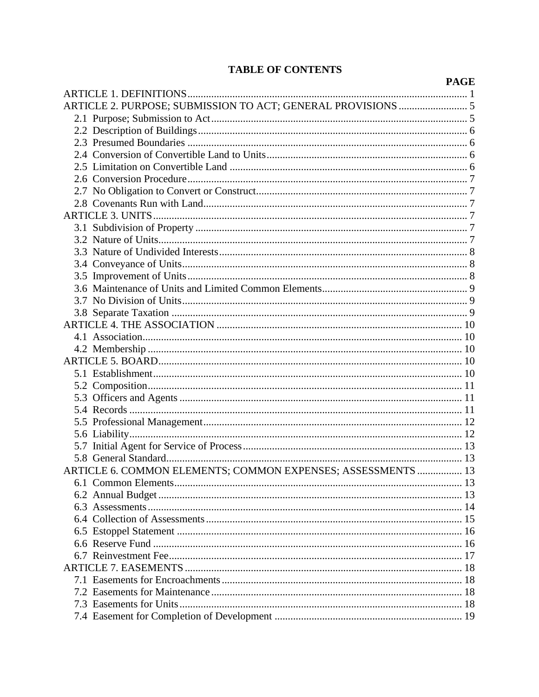# **TABLE OF CONTENTS**

|                                                              | <b>PAGE</b> |
|--------------------------------------------------------------|-------------|
|                                                              |             |
| ARTICLE 2. PURPOSE; SUBMISSION TO ACT; GENERAL PROVISIONS  5 |             |
|                                                              |             |
|                                                              |             |
|                                                              |             |
|                                                              |             |
|                                                              |             |
|                                                              |             |
|                                                              |             |
|                                                              |             |
|                                                              |             |
|                                                              |             |
|                                                              |             |
|                                                              |             |
|                                                              |             |
|                                                              |             |
|                                                              |             |
|                                                              |             |
|                                                              |             |
|                                                              |             |
|                                                              |             |
|                                                              |             |
|                                                              |             |
|                                                              |             |
|                                                              |             |
|                                                              |             |
|                                                              |             |
|                                                              |             |
|                                                              |             |
|                                                              |             |
|                                                              |             |
| ARTICLE 6. COMMON ELEMENTS; COMMON EXPENSES; ASSESSMENTS  13 |             |
|                                                              |             |
|                                                              |             |
|                                                              |             |
|                                                              |             |
|                                                              |             |
|                                                              |             |
|                                                              |             |
|                                                              |             |
|                                                              |             |
|                                                              |             |
|                                                              |             |
|                                                              |             |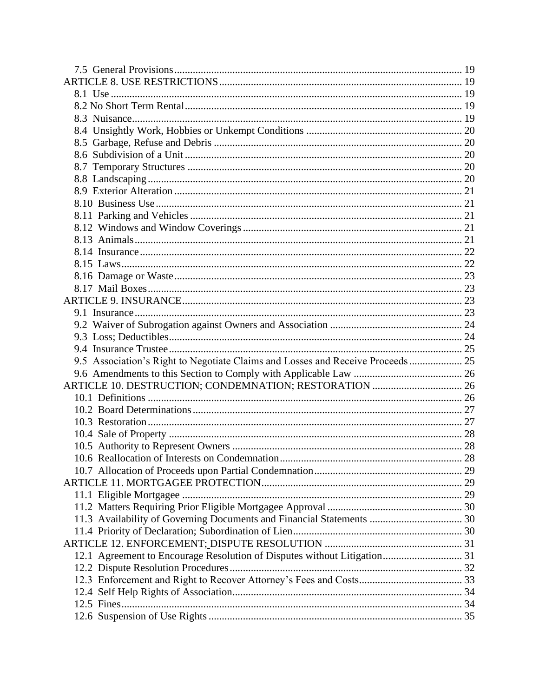| 9.5 Association's Right to Negotiate Claims and Losses and Receive Proceeds  25 |  |
|---------------------------------------------------------------------------------|--|
|                                                                                 |  |
|                                                                                 |  |
|                                                                                 |  |
|                                                                                 |  |
|                                                                                 |  |
|                                                                                 |  |
|                                                                                 |  |
|                                                                                 |  |
|                                                                                 |  |
|                                                                                 |  |
|                                                                                 |  |
|                                                                                 |  |
|                                                                                 |  |
|                                                                                 |  |
|                                                                                 |  |
| 12.1 Agreement to Encourage Resolution of Disputes without Litigation 31        |  |
|                                                                                 |  |
|                                                                                 |  |
|                                                                                 |  |
|                                                                                 |  |
|                                                                                 |  |
|                                                                                 |  |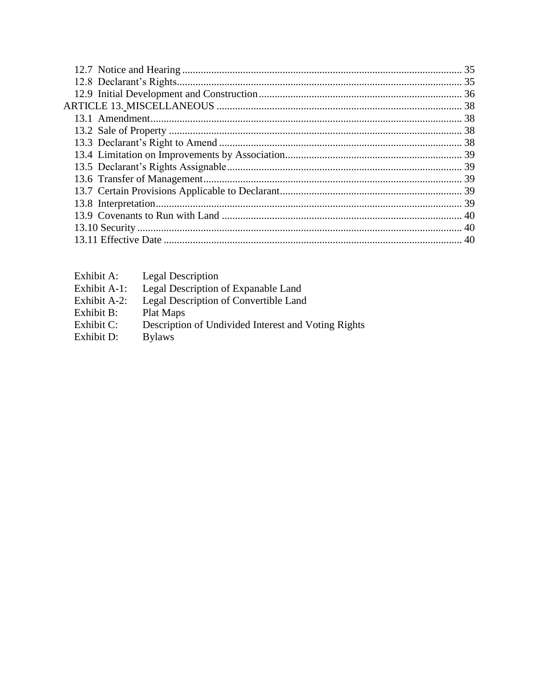| Exhibit A:   | <b>Legal Description</b>                            |
|--------------|-----------------------------------------------------|
| Exhibit A-1: | Legal Description of Expanable Land                 |
| Exhibit A-2: | Legal Description of Convertible Land               |
| Exhibit B:   | Plat Maps                                           |
| Exhibit C:   | Description of Undivided Interest and Voting Rights |
| Exhibit D:   | <b>Bylaws</b>                                       |
|              |                                                     |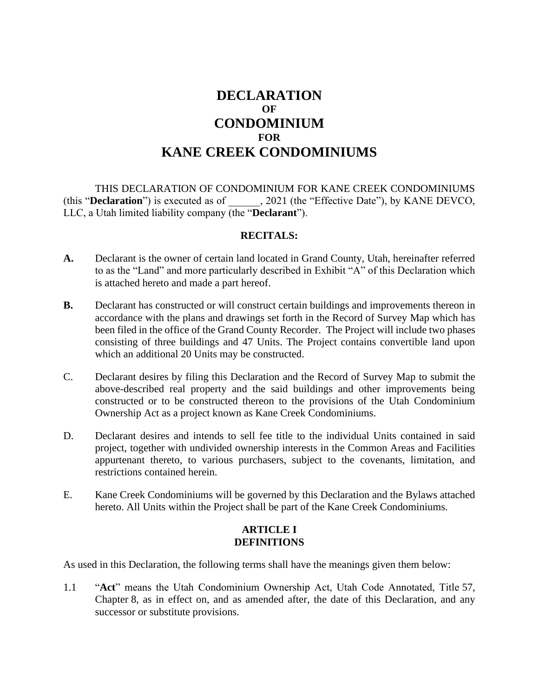# **DECLARATION OF CONDOMINIUM FOR KANE CREEK CONDOMINIUMS**

THIS DECLARATION OF CONDOMINIUM FOR KANE CREEK CONDOMINIUMS (this "**Declaration**") is executed as of \_\_\_\_\_\_, 2021 (the "Effective Date"), by KANE DEVCO, LLC, a Utah limited liability company (the "**Declarant**").

#### **RECITALS:**

- **A.** Declarant is the owner of certain land located in Grand County, Utah, hereinafter referred to as the "Land" and more particularly described in Exhibit "A" of this Declaration which is attached hereto and made a part hereof.
- **B.** Declarant has constructed or will construct certain buildings and improvements thereon in accordance with the plans and drawings set forth in the Record of Survey Map which has been filed in the office of the Grand County Recorder. The Project will include two phases consisting of three buildings and 47 Units. The Project contains convertible land upon which an additional 20 Units may be constructed.
- C. Declarant desires by filing this Declaration and the Record of Survey Map to submit the above-described real property and the said buildings and other improvements being constructed or to be constructed thereon to the provisions of the Utah Condominium Ownership Act as a project known as Kane Creek Condominiums.
- D. Declarant desires and intends to sell fee title to the individual Units contained in said project, together with undivided ownership interests in the Common Areas and Facilities appurtenant thereto, to various purchasers, subject to the covenants, limitation, and restrictions contained herein.
- E. Kane Creek Condominiums will be governed by this Declaration and the Bylaws attached hereto. All Units within the Project shall be part of the Kane Creek Condominiums.

# **ARTICLE I DEFINITIONS**

As used in this Declaration, the following terms shall have the meanings given them below:

1.1 "**Act**" means the Utah Condominium Ownership Act, Utah Code Annotated, Title 57, Chapter 8, as in effect on, and as amended after, the date of this Declaration, and any successor or substitute provisions.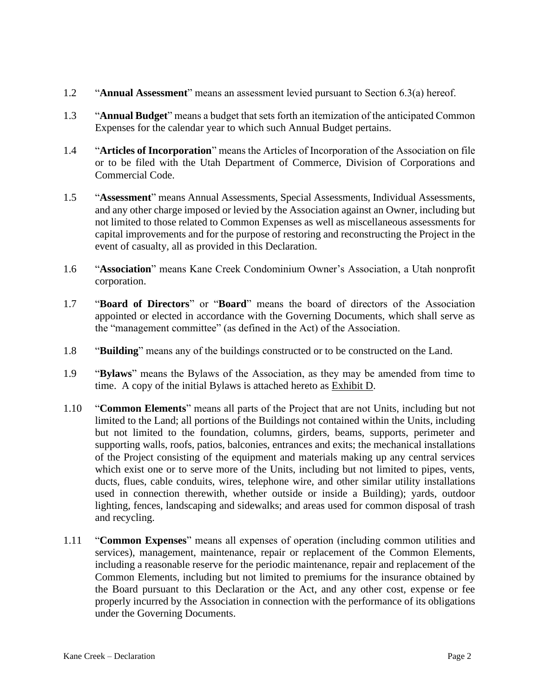- 1.2 "**Annual Assessment**" means an assessment levied pursuant to Section 6.3(a) hereof.
- 1.3 "**Annual Budget**" means a budget that sets forth an itemization of the anticipated Common Expenses for the calendar year to which such Annual Budget pertains.
- 1.4 "**Articles of Incorporation**" means the Articles of Incorporation of the Association on file or to be filed with the Utah Department of Commerce, Division of Corporations and Commercial Code.
- 1.5 "**Assessment**" means Annual Assessments, Special Assessments, Individual Assessments, and any other charge imposed or levied by the Association against an Owner, including but not limited to those related to Common Expenses as well as miscellaneous assessments for capital improvements and for the purpose of restoring and reconstructing the Project in the event of casualty, all as provided in this Declaration.
- 1.6 "**Association**" means Kane Creek Condominium Owner's Association, a Utah nonprofit corporation.
- 1.7 "**Board of Directors**" or "**Board**" means the board of directors of the Association appointed or elected in accordance with the Governing Documents, which shall serve as the "management committee" (as defined in the Act) of the Association.
- 1.8 "**Building**" means any of the buildings constructed or to be constructed on the Land.
- 1.9 "**Bylaws**" means the Bylaws of the Association, as they may be amended from time to time. A copy of the initial Bylaws is attached hereto as Exhibit D.
- 1.10 "**Common Elements**" means all parts of the Project that are not Units, including but not limited to the Land; all portions of the Buildings not contained within the Units, including but not limited to the foundation, columns, girders, beams, supports, perimeter and supporting walls, roofs, patios, balconies, entrances and exits; the mechanical installations of the Project consisting of the equipment and materials making up any central services which exist one or to serve more of the Units, including but not limited to pipes, vents, ducts, flues, cable conduits, wires, telephone wire, and other similar utility installations used in connection therewith, whether outside or inside a Building); yards, outdoor lighting, fences, landscaping and sidewalks; and areas used for common disposal of trash and recycling.
- 1.11 "**Common Expenses**" means all expenses of operation (including common utilities and services), management, maintenance, repair or replacement of the Common Elements, including a reasonable reserve for the periodic maintenance, repair and replacement of the Common Elements, including but not limited to premiums for the insurance obtained by the Board pursuant to this Declaration or the Act, and any other cost, expense or fee properly incurred by the Association in connection with the performance of its obligations under the Governing Documents.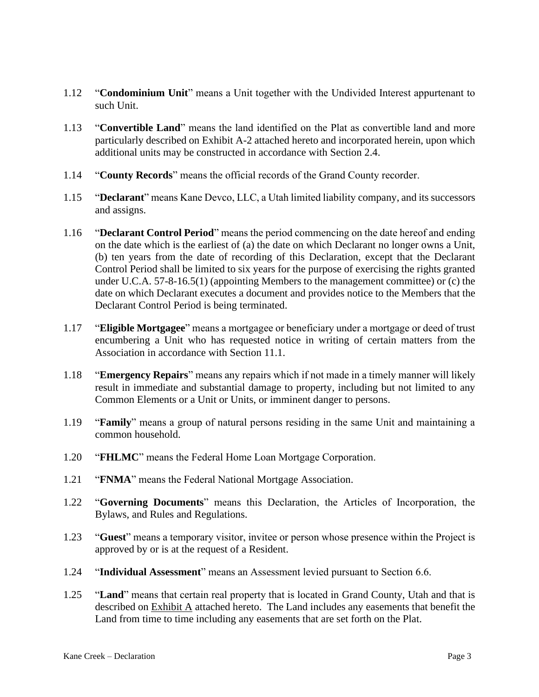- 1.12 "**Condominium Unit**" means a Unit together with the Undivided Interest appurtenant to such Unit.
- 1.13 "**Convertible Land**" means the land identified on the Plat as convertible land and more particularly described on Exhibit A-2 attached hereto and incorporated herein, upon which additional units may be constructed in accordance with Section 2.4.
- 1.14 "**County Records**" means the official records of the Grand County recorder.
- 1.15 "**Declarant**" means Kane Devco, LLC, a Utah limited liability company, and its successors and assigns.
- 1.16 "**Declarant Control Period**" means the period commencing on the date hereof and ending on the date which is the earliest of (a) the date on which Declarant no longer owns a Unit, (b) ten years from the date of recording of this Declaration, except that the Declarant Control Period shall be limited to six years for the purpose of exercising the rights granted under U.C.A. 57-8-16.5(1) (appointing Members to the management committee) or (c) the date on which Declarant executes a document and provides notice to the Members that the Declarant Control Period is being terminated.
- 1.17 "**Eligible Mortgagee**" means a mortgagee or beneficiary under a mortgage or deed of trust encumbering a Unit who has requested notice in writing of certain matters from the Association in accordance with Section 11.1.
- 1.18 "**Emergency Repairs**" means any repairs which if not made in a timely manner will likely result in immediate and substantial damage to property, including but not limited to any Common Elements or a Unit or Units, or imminent danger to persons.
- 1.19 "**Family**" means a group of natural persons residing in the same Unit and maintaining a common household.
- 1.20 "**FHLMC**" means the Federal Home Loan Mortgage Corporation.
- 1.21 "**FNMA**" means the Federal National Mortgage Association.
- 1.22 "**Governing Documents**" means this Declaration, the Articles of Incorporation, the Bylaws, and Rules and Regulations.
- 1.23 "**Guest**" means a temporary visitor, invitee or person whose presence within the Project is approved by or is at the request of a Resident.
- 1.24 "**Individual Assessment**" means an Assessment levied pursuant to Section 6.6.
- 1.25 "**Land**" means that certain real property that is located in Grand County, Utah and that is described on  $Exhibit A$  attached hereto. The Land includes any easements that benefit the Land from time to time including any easements that are set forth on the Plat.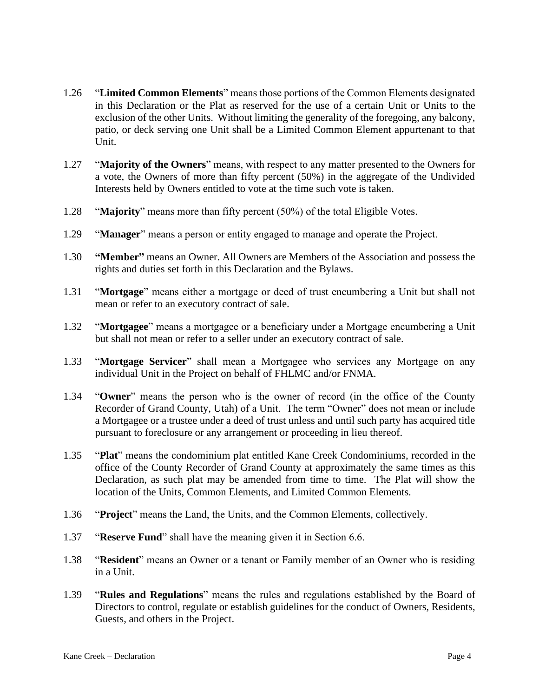- 1.26 "**Limited Common Elements**" means those portions of the Common Elements designated in this Declaration or the Plat as reserved for the use of a certain Unit or Units to the exclusion of the other Units. Without limiting the generality of the foregoing, any balcony, patio, or deck serving one Unit shall be a Limited Common Element appurtenant to that Unit.
- 1.27 "**Majority of the Owners**" means, with respect to any matter presented to the Owners for a vote, the Owners of more than fifty percent (50%) in the aggregate of the Undivided Interests held by Owners entitled to vote at the time such vote is taken.
- 1.28 "**Majority**" means more than fifty percent (50%) of the total Eligible Votes.
- 1.29 "**Manager**" means a person or entity engaged to manage and operate the Project.
- 1.30 **"Member"** means an Owner. All Owners are Members of the Association and possess the rights and duties set forth in this Declaration and the Bylaws.
- 1.31 "**Mortgage**" means either a mortgage or deed of trust encumbering a Unit but shall not mean or refer to an executory contract of sale.
- 1.32 "**Mortgagee**" means a mortgagee or a beneficiary under a Mortgage encumbering a Unit but shall not mean or refer to a seller under an executory contract of sale.
- 1.33 "**Mortgage Servicer**" shall mean a Mortgagee who services any Mortgage on any individual Unit in the Project on behalf of FHLMC and/or FNMA.
- 1.34 "**Owner**" means the person who is the owner of record (in the office of the County Recorder of Grand County, Utah) of a Unit. The term "Owner" does not mean or include a Mortgagee or a trustee under a deed of trust unless and until such party has acquired title pursuant to foreclosure or any arrangement or proceeding in lieu thereof.
- 1.35 "**Plat**" means the condominium plat entitled Kane Creek Condominiums, recorded in the office of the County Recorder of Grand County at approximately the same times as this Declaration, as such plat may be amended from time to time. The Plat will show the location of the Units, Common Elements, and Limited Common Elements.
- 1.36 "**Project**" means the Land, the Units, and the Common Elements, collectively.
- 1.37 "**Reserve Fund**" shall have the meaning given it in Section 6.6.
- 1.38 "**Resident**" means an Owner or a tenant or Family member of an Owner who is residing in a Unit.
- 1.39 "**Rules and Regulations**" means the rules and regulations established by the Board of Directors to control, regulate or establish guidelines for the conduct of Owners, Residents, Guests, and others in the Project.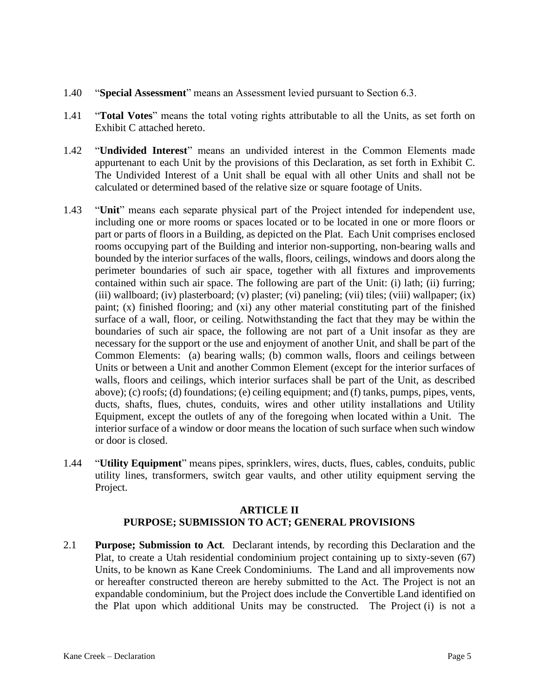- 1.40 "**Special Assessment**" means an Assessment levied pursuant to Section 6.3.
- 1.41 "**Total Votes**" means the total voting rights attributable to all the Units, as set forth on Exhibit C attached hereto.
- 1.42 "**Undivided Interest**" means an undivided interest in the Common Elements made appurtenant to each Unit by the provisions of this Declaration, as set forth in Exhibit C. The Undivided Interest of a Unit shall be equal with all other Units and shall not be calculated or determined based of the relative size or square footage of Units.
- 1.43 "**Unit**" means each separate physical part of the Project intended for independent use, including one or more rooms or spaces located or to be located in one or more floors or part or parts of floors in a Building, as depicted on the Plat. Each Unit comprises enclosed rooms occupying part of the Building and interior non-supporting, non-bearing walls and bounded by the interior surfaces of the walls, floors, ceilings, windows and doors along the perimeter boundaries of such air space, together with all fixtures and improvements contained within such air space. The following are part of the Unit: (i) lath; (ii) furring; (iii) wallboard; (iv) plasterboard; (v) plaster; (vi) paneling; (vii) tiles; (viii) wallpaper; (ix) paint; (x) finished flooring; and (xi) any other material constituting part of the finished surface of a wall, floor, or ceiling. Notwithstanding the fact that they may be within the boundaries of such air space, the following are not part of a Unit insofar as they are necessary for the support or the use and enjoyment of another Unit, and shall be part of the Common Elements: (a) bearing walls; (b) common walls, floors and ceilings between Units or between a Unit and another Common Element (except for the interior surfaces of walls, floors and ceilings, which interior surfaces shall be part of the Unit, as described above); (c) roofs; (d) foundations; (e) ceiling equipment; and (f) tanks, pumps, pipes, vents, ducts, shafts, flues, chutes, conduits, wires and other utility installations and Utility Equipment, except the outlets of any of the foregoing when located within a Unit. The interior surface of a window or door means the location of such surface when such window or door is closed.
- 1.44 "**Utility Equipment**" means pipes, sprinklers, wires, ducts, flues, cables, conduits, public utility lines, transformers, switch gear vaults, and other utility equipment serving the Project.

# **ARTICLE II PURPOSE; SUBMISSION TO ACT; GENERAL PROVISIONS**

2.1 **Purpose; Submission to Act***.* Declarant intends, by recording this Declaration and the Plat, to create a Utah residential condominium project containing up to sixty-seven (67) Units, to be known as Kane Creek Condominiums. The Land and all improvements now or hereafter constructed thereon are hereby submitted to the Act. The Project is not an expandable condominium, but the Project does include the Convertible Land identified on the Plat upon which additional Units may be constructed. The Project (i) is not a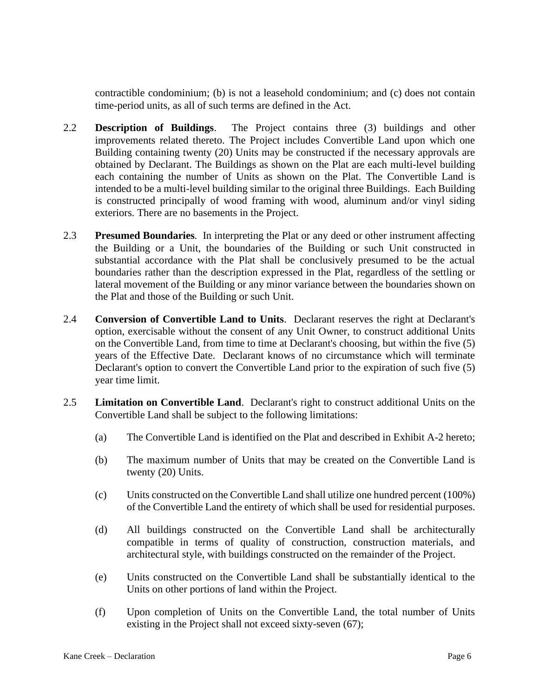contractible condominium; (b) is not a leasehold condominium; and (c) does not contain time-period units, as all of such terms are defined in the Act.

- 2.2 **Description of Buildings**. The Project contains three (3) buildings and other improvements related thereto. The Project includes Convertible Land upon which one Building containing twenty (20) Units may be constructed if the necessary approvals are obtained by Declarant. The Buildings as shown on the Plat are each multi-level building each containing the number of Units as shown on the Plat. The Convertible Land is intended to be a multi-level building similar to the original three Buildings. Each Building is constructed principally of wood framing with wood, aluminum and/or vinyl siding exteriors. There are no basements in the Project.
- 2.3 **Presumed Boundaries***.* In interpreting the Plat or any deed or other instrument affecting the Building or a Unit, the boundaries of the Building or such Unit constructed in substantial accordance with the Plat shall be conclusively presumed to be the actual boundaries rather than the description expressed in the Plat, regardless of the settling or lateral movement of the Building or any minor variance between the boundaries shown on the Plat and those of the Building or such Unit.
- 2.4 **Conversion of Convertible Land to Units**. Declarant reserves the right at Declarant's option, exercisable without the consent of any Unit Owner, to construct additional Units on the Convertible Land, from time to time at Declarant's choosing, but within the five (5) years of the Effective Date. Declarant knows of no circumstance which will terminate Declarant's option to convert the Convertible Land prior to the expiration of such five (5) year time limit.
- 2.5 **Limitation on Convertible Land**. Declarant's right to construct additional Units on the Convertible Land shall be subject to the following limitations:
	- (a) The Convertible Land is identified on the Plat and described in Exhibit A-2 hereto;
	- (b) The maximum number of Units that may be created on the Convertible Land is twenty (20) Units.
	- (c) Units constructed on the Convertible Land shall utilize one hundred percent (100%) of the Convertible Land the entirety of which shall be used for residential purposes.
	- (d) All buildings constructed on the Convertible Land shall be architecturally compatible in terms of quality of construction, construction materials, and architectural style, with buildings constructed on the remainder of the Project.
	- (e) Units constructed on the Convertible Land shall be substantially identical to the Units on other portions of land within the Project.
	- (f) Upon completion of Units on the Convertible Land, the total number of Units existing in the Project shall not exceed sixty-seven (67);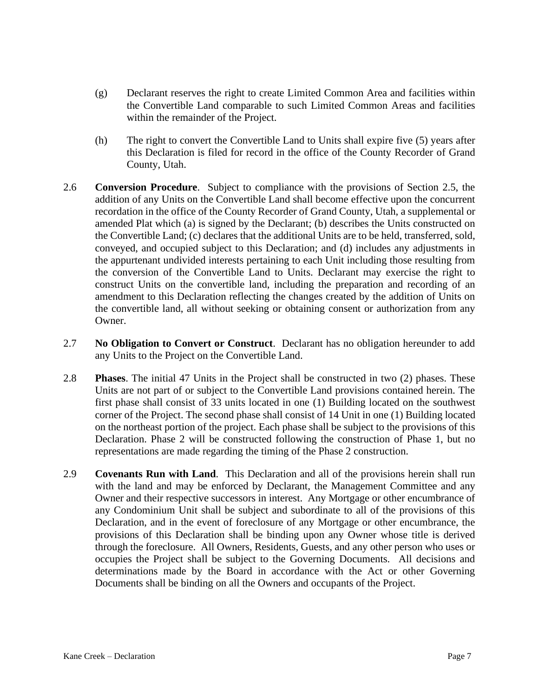- (g) Declarant reserves the right to create Limited Common Area and facilities within the Convertible Land comparable to such Limited Common Areas and facilities within the remainder of the Project.
- (h) The right to convert the Convertible Land to Units shall expire five (5) years after this Declaration is filed for record in the office of the County Recorder of Grand County, Utah.
- 2.6 **Conversion Procedure**. Subject to compliance with the provisions of Section 2.5, the addition of any Units on the Convertible Land shall become effective upon the concurrent recordation in the office of the County Recorder of Grand County, Utah, a supplemental or amended Plat which (a) is signed by the Declarant; (b) describes the Units constructed on the Convertible Land; (c) declares that the additional Units are to be held, transferred, sold, conveyed, and occupied subject to this Declaration; and (d) includes any adjustments in the appurtenant undivided interests pertaining to each Unit including those resulting from the conversion of the Convertible Land to Units. Declarant may exercise the right to construct Units on the convertible land, including the preparation and recording of an amendment to this Declaration reflecting the changes created by the addition of Units on the convertible land, all without seeking or obtaining consent or authorization from any Owner.
- 2.7 **No Obligation to Convert or Construct**. Declarant has no obligation hereunder to add any Units to the Project on the Convertible Land.
- 2.8 **Phases**. The initial 47 Units in the Project shall be constructed in two (2) phases. These Units are not part of or subject to the Convertible Land provisions contained herein. The first phase shall consist of 33 units located in one (1) Building located on the southwest corner of the Project. The second phase shall consist of 14 Unit in one (1) Building located on the northeast portion of the project. Each phase shall be subject to the provisions of this Declaration. Phase 2 will be constructed following the construction of Phase 1, but no representations are made regarding the timing of the Phase 2 construction.
- 2.9 **Covenants Run with Land***.* This Declaration and all of the provisions herein shall run with the land and may be enforced by Declarant, the Management Committee and any Owner and their respective successors in interest. Any Mortgage or other encumbrance of any Condominium Unit shall be subject and subordinate to all of the provisions of this Declaration, and in the event of foreclosure of any Mortgage or other encumbrance, the provisions of this Declaration shall be binding upon any Owner whose title is derived through the foreclosure. All Owners, Residents, Guests, and any other person who uses or occupies the Project shall be subject to the Governing Documents. All decisions and determinations made by the Board in accordance with the Act or other Governing Documents shall be binding on all the Owners and occupants of the Project.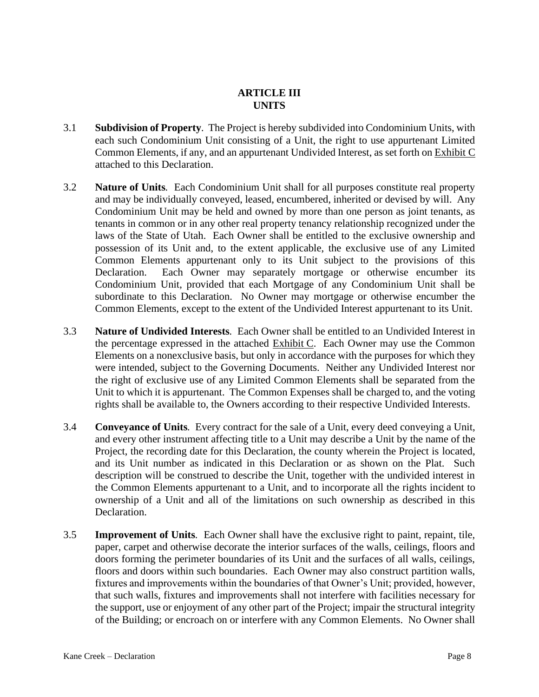### **ARTICLE III UNITS**

- 3.1 **Subdivision of Property***.* The Project is hereby subdivided into Condominium Units, with each such Condominium Unit consisting of a Unit, the right to use appurtenant Limited Common Elements, if any, and an appurtenant Undivided Interest, as set forth on Exhibit C attached to this Declaration.
- 3.2 **Nature of Units***.* Each Condominium Unit shall for all purposes constitute real property and may be individually conveyed, leased, encumbered, inherited or devised by will. Any Condominium Unit may be held and owned by more than one person as joint tenants, as tenants in common or in any other real property tenancy relationship recognized under the laws of the State of Utah. Each Owner shall be entitled to the exclusive ownership and possession of its Unit and, to the extent applicable, the exclusive use of any Limited Common Elements appurtenant only to its Unit subject to the provisions of this Declaration. Each Owner may separately mortgage or otherwise encumber its Condominium Unit, provided that each Mortgage of any Condominium Unit shall be subordinate to this Declaration. No Owner may mortgage or otherwise encumber the Common Elements, except to the extent of the Undivided Interest appurtenant to its Unit.
- 3.3 **Nature of Undivided Interests***.* Each Owner shall be entitled to an Undivided Interest in the percentage expressed in the attached Exhibit C. Each Owner may use the Common Elements on a nonexclusive basis, but only in accordance with the purposes for which they were intended, subject to the Governing Documents. Neither any Undivided Interest nor the right of exclusive use of any Limited Common Elements shall be separated from the Unit to which it is appurtenant. The Common Expenses shall be charged to, and the voting rights shall be available to, the Owners according to their respective Undivided Interests.
- 3.4 **Conveyance of Units***.* Every contract for the sale of a Unit, every deed conveying a Unit, and every other instrument affecting title to a Unit may describe a Unit by the name of the Project, the recording date for this Declaration, the county wherein the Project is located, and its Unit number as indicated in this Declaration or as shown on the Plat. Such description will be construed to describe the Unit, together with the undivided interest in the Common Elements appurtenant to a Unit, and to incorporate all the rights incident to ownership of a Unit and all of the limitations on such ownership as described in this Declaration.
- 3.5 **Improvement of Units***.* Each Owner shall have the exclusive right to paint, repaint, tile, paper, carpet and otherwise decorate the interior surfaces of the walls, ceilings, floors and doors forming the perimeter boundaries of its Unit and the surfaces of all walls, ceilings, floors and doors within such boundaries. Each Owner may also construct partition walls, fixtures and improvements within the boundaries of that Owner's Unit; provided, however, that such walls, fixtures and improvements shall not interfere with facilities necessary for the support, use or enjoyment of any other part of the Project; impair the structural integrity of the Building; or encroach on or interfere with any Common Elements. No Owner shall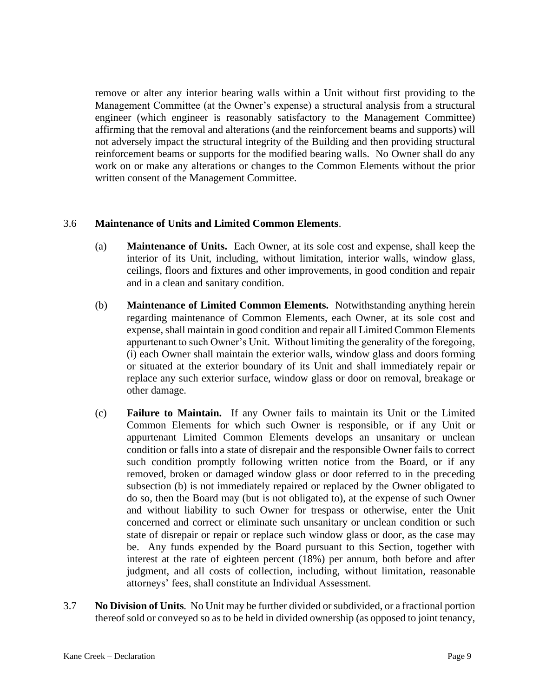remove or alter any interior bearing walls within a Unit without first providing to the Management Committee (at the Owner's expense) a structural analysis from a structural engineer (which engineer is reasonably satisfactory to the Management Committee) affirming that the removal and alterations (and the reinforcement beams and supports) will not adversely impact the structural integrity of the Building and then providing structural reinforcement beams or supports for the modified bearing walls. No Owner shall do any work on or make any alterations or changes to the Common Elements without the prior written consent of the Management Committee.

#### 3.6 **Maintenance of Units and Limited Common Elements**.

- (a) **Maintenance of Units.** Each Owner, at its sole cost and expense, shall keep the interior of its Unit, including, without limitation, interior walls, window glass, ceilings, floors and fixtures and other improvements, in good condition and repair and in a clean and sanitary condition.
- (b) **Maintenance of Limited Common Elements.** Notwithstanding anything herein regarding maintenance of Common Elements, each Owner, at its sole cost and expense, shall maintain in good condition and repair all Limited Common Elements appurtenant to such Owner's Unit. Without limiting the generality of the foregoing, (i) each Owner shall maintain the exterior walls, window glass and doors forming or situated at the exterior boundary of its Unit and shall immediately repair or replace any such exterior surface, window glass or door on removal, breakage or other damage.
- (c) **Failure to Maintain.** If any Owner fails to maintain its Unit or the Limited Common Elements for which such Owner is responsible, or if any Unit or appurtenant Limited Common Elements develops an unsanitary or unclean condition or falls into a state of disrepair and the responsible Owner fails to correct such condition promptly following written notice from the Board, or if any removed, broken or damaged window glass or door referred to in the preceding subsection (b) is not immediately repaired or replaced by the Owner obligated to do so, then the Board may (but is not obligated to), at the expense of such Owner and without liability to such Owner for trespass or otherwise, enter the Unit concerned and correct or eliminate such unsanitary or unclean condition or such state of disrepair or repair or replace such window glass or door, as the case may be. Any funds expended by the Board pursuant to this Section, together with interest at the rate of eighteen percent (18%) per annum, both before and after judgment, and all costs of collection, including, without limitation, reasonable attorneys' fees, shall constitute an Individual Assessment.
- 3.7 **No Division of Units***.* No Unit may be further divided or subdivided, or a fractional portion thereof sold or conveyed so as to be held in divided ownership (as opposed to joint tenancy,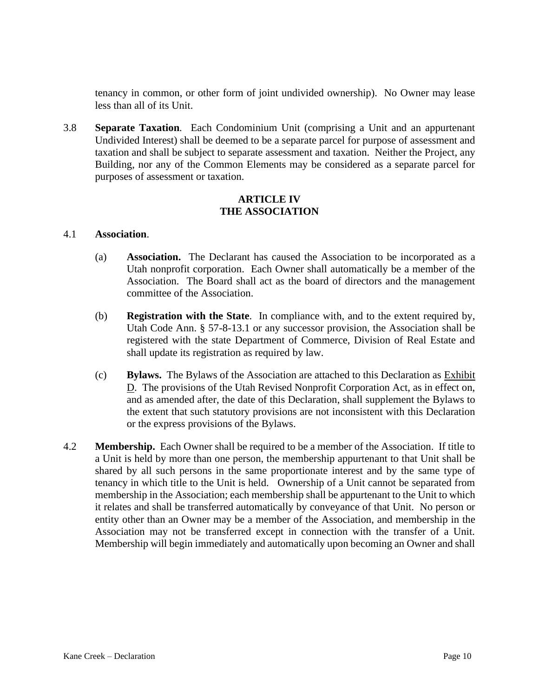tenancy in common, or other form of joint undivided ownership). No Owner may lease less than all of its Unit.

3.8 **Separate Taxation***.* Each Condominium Unit (comprising a Unit and an appurtenant Undivided Interest) shall be deemed to be a separate parcel for purpose of assessment and taxation and shall be subject to separate assessment and taxation. Neither the Project, any Building, nor any of the Common Elements may be considered as a separate parcel for purposes of assessment or taxation.

#### **ARTICLE IV THE ASSOCIATION**

#### 4.1 **Association**.

- (a) **Association.** The Declarant has caused the Association to be incorporated as a Utah nonprofit corporation. Each Owner shall automatically be a member of the Association. The Board shall act as the board of directors and the management committee of the Association.
- (b) **Registration with the State**. In compliance with, and to the extent required by, Utah Code Ann. § 57-8-13.1 or any successor provision, the Association shall be registered with the state Department of Commerce, Division of Real Estate and shall update its registration as required by law.
- (c) **Bylaws.** The Bylaws of the Association are attached to this Declaration as Exhibit D. The provisions of the Utah Revised Nonprofit Corporation Act, as in effect on, and as amended after, the date of this Declaration, shall supplement the Bylaws to the extent that such statutory provisions are not inconsistent with this Declaration or the express provisions of the Bylaws.
- 4.2 **Membership.** Each Owner shall be required to be a member of the Association. If title to a Unit is held by more than one person, the membership appurtenant to that Unit shall be shared by all such persons in the same proportionate interest and by the same type of tenancy in which title to the Unit is held. Ownership of a Unit cannot be separated from membership in the Association; each membership shall be appurtenant to the Unit to which it relates and shall be transferred automatically by conveyance of that Unit. No person or entity other than an Owner may be a member of the Association, and membership in the Association may not be transferred except in connection with the transfer of a Unit. Membership will begin immediately and automatically upon becoming an Owner and shall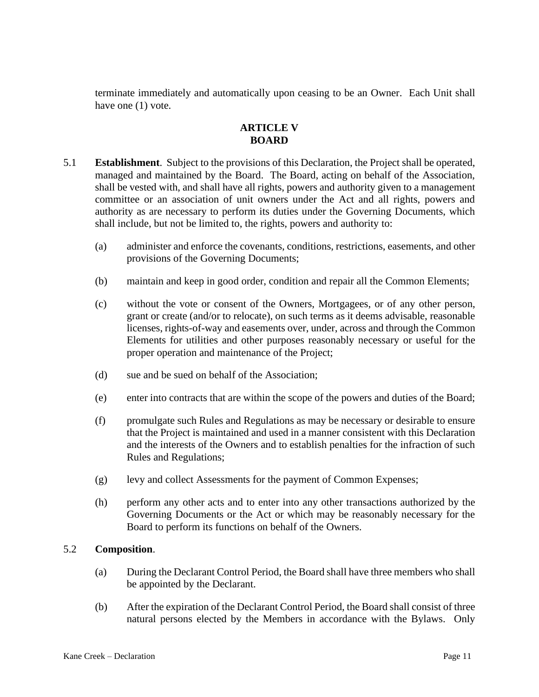terminate immediately and automatically upon ceasing to be an Owner. Each Unit shall have one (1) vote.

# **ARTICLE V BOARD**

- 5.1 **Establishment**. Subject to the provisions of this Declaration, the Project shall be operated, managed and maintained by the Board. The Board, acting on behalf of the Association, shall be vested with, and shall have all rights, powers and authority given to a management committee or an association of unit owners under the Act and all rights, powers and authority as are necessary to perform its duties under the Governing Documents, which shall include, but not be limited to, the rights, powers and authority to:
	- (a) administer and enforce the covenants, conditions, restrictions, easements, and other provisions of the Governing Documents;
	- (b) maintain and keep in good order, condition and repair all the Common Elements;
	- (c) without the vote or consent of the Owners, Mortgagees, or of any other person, grant or create (and/or to relocate), on such terms as it deems advisable, reasonable licenses, rights-of-way and easements over, under, across and through the Common Elements for utilities and other purposes reasonably necessary or useful for the proper operation and maintenance of the Project;
	- (d) sue and be sued on behalf of the Association;
	- (e) enter into contracts that are within the scope of the powers and duties of the Board;
	- (f) promulgate such Rules and Regulations as may be necessary or desirable to ensure that the Project is maintained and used in a manner consistent with this Declaration and the interests of the Owners and to establish penalties for the infraction of such Rules and Regulations;
	- (g) levy and collect Assessments for the payment of Common Expenses;
	- (h) perform any other acts and to enter into any other transactions authorized by the Governing Documents or the Act or which may be reasonably necessary for the Board to perform its functions on behalf of the Owners.

#### 5.2 **Composition**.

- (a) During the Declarant Control Period, the Board shall have three members who shall be appointed by the Declarant.
- (b) After the expiration of the Declarant Control Period, the Board shall consist of three natural persons elected by the Members in accordance with the Bylaws. Only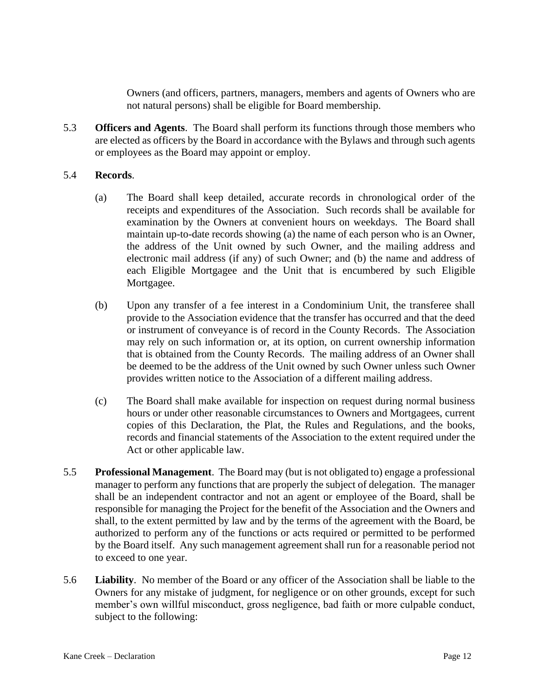Owners (and officers, partners, managers, members and agents of Owners who are not natural persons) shall be eligible for Board membership.

5.3 **Officers and Agents**. The Board shall perform its functions through those members who are elected as officers by the Board in accordance with the Bylaws and through such agents or employees as the Board may appoint or employ.

#### 5.4 **Records**.

- (a) The Board shall keep detailed, accurate records in chronological order of the receipts and expenditures of the Association. Such records shall be available for examination by the Owners at convenient hours on weekdays. The Board shall maintain up-to-date records showing (a) the name of each person who is an Owner, the address of the Unit owned by such Owner, and the mailing address and electronic mail address (if any) of such Owner; and (b) the name and address of each Eligible Mortgagee and the Unit that is encumbered by such Eligible Mortgagee.
- (b) Upon any transfer of a fee interest in a Condominium Unit, the transferee shall provide to the Association evidence that the transfer has occurred and that the deed or instrument of conveyance is of record in the County Records. The Association may rely on such information or, at its option, on current ownership information that is obtained from the County Records. The mailing address of an Owner shall be deemed to be the address of the Unit owned by such Owner unless such Owner provides written notice to the Association of a different mailing address.
- (c) The Board shall make available for inspection on request during normal business hours or under other reasonable circumstances to Owners and Mortgagees, current copies of this Declaration, the Plat, the Rules and Regulations, and the books, records and financial statements of the Association to the extent required under the Act or other applicable law.
- 5.5 **Professional Management**. The Board may (but is not obligated to) engage a professional manager to perform any functions that are properly the subject of delegation. The manager shall be an independent contractor and not an agent or employee of the Board, shall be responsible for managing the Project for the benefit of the Association and the Owners and shall, to the extent permitted by law and by the terms of the agreement with the Board, be authorized to perform any of the functions or acts required or permitted to be performed by the Board itself. Any such management agreement shall run for a reasonable period not to exceed to one year.
- 5.6 **Liability**. No member of the Board or any officer of the Association shall be liable to the Owners for any mistake of judgment, for negligence or on other grounds, except for such member's own willful misconduct, gross negligence, bad faith or more culpable conduct, subject to the following: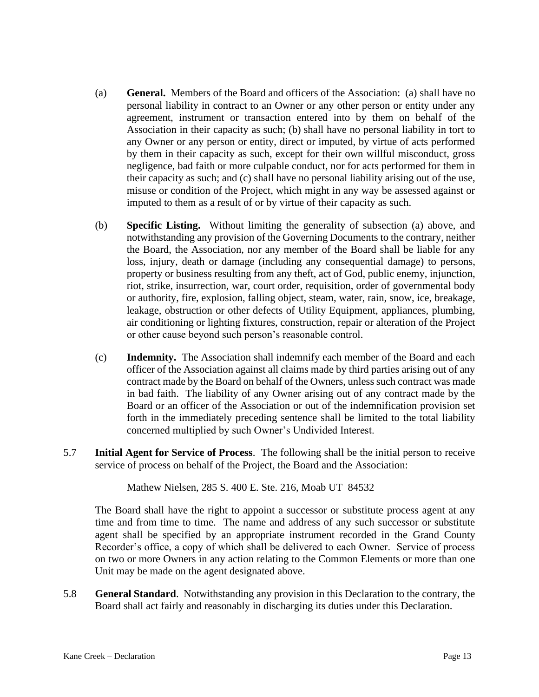- (a) **General.** Members of the Board and officers of the Association: (a) shall have no personal liability in contract to an Owner or any other person or entity under any agreement, instrument or transaction entered into by them on behalf of the Association in their capacity as such; (b) shall have no personal liability in tort to any Owner or any person or entity, direct or imputed, by virtue of acts performed by them in their capacity as such, except for their own willful misconduct, gross negligence, bad faith or more culpable conduct, nor for acts performed for them in their capacity as such; and (c) shall have no personal liability arising out of the use, misuse or condition of the Project, which might in any way be assessed against or imputed to them as a result of or by virtue of their capacity as such.
- (b) **Specific Listing.** Without limiting the generality of subsection (a) above, and notwithstanding any provision of the Governing Documents to the contrary, neither the Board, the Association, nor any member of the Board shall be liable for any loss, injury, death or damage (including any consequential damage) to persons, property or business resulting from any theft, act of God, public enemy, injunction, riot, strike, insurrection, war, court order, requisition, order of governmental body or authority, fire, explosion, falling object, steam, water, rain, snow, ice, breakage, leakage, obstruction or other defects of Utility Equipment, appliances, plumbing, air conditioning or lighting fixtures, construction, repair or alteration of the Project or other cause beyond such person's reasonable control.
- (c) **Indemnity.** The Association shall indemnify each member of the Board and each officer of the Association against all claims made by third parties arising out of any contract made by the Board on behalf of the Owners, unless such contract was made in bad faith. The liability of any Owner arising out of any contract made by the Board or an officer of the Association or out of the indemnification provision set forth in the immediately preceding sentence shall be limited to the total liability concerned multiplied by such Owner's Undivided Interest.
- 5.7 **Initial Agent for Service of Process**. The following shall be the initial person to receive service of process on behalf of the Project, the Board and the Association:

Mathew Nielsen, 285 S. 400 E. Ste. 216, Moab UT 84532

The Board shall have the right to appoint a successor or substitute process agent at any time and from time to time. The name and address of any such successor or substitute agent shall be specified by an appropriate instrument recorded in the Grand County Recorder's office, a copy of which shall be delivered to each Owner. Service of process on two or more Owners in any action relating to the Common Elements or more than one Unit may be made on the agent designated above.

5.8 **General Standard**. Notwithstanding any provision in this Declaration to the contrary, the Board shall act fairly and reasonably in discharging its duties under this Declaration.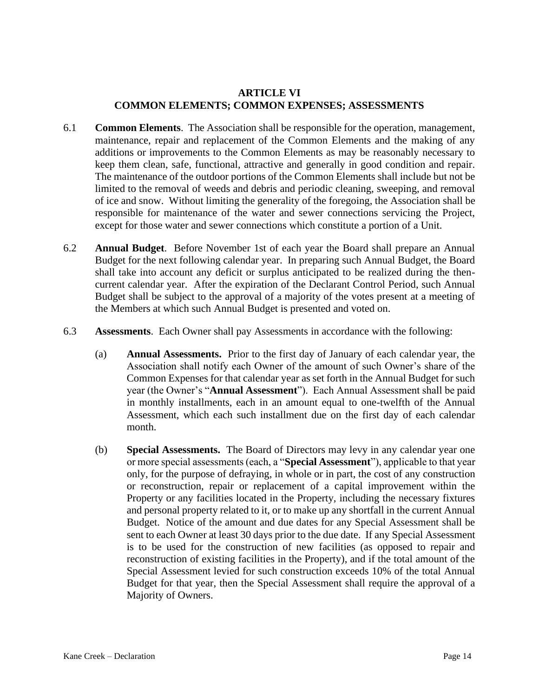# **ARTICLE VI COMMON ELEMENTS; COMMON EXPENSES; ASSESSMENTS**

- 6.1 **Common Elements**. The Association shall be responsible for the operation, management, maintenance, repair and replacement of the Common Elements and the making of any additions or improvements to the Common Elements as may be reasonably necessary to keep them clean, safe, functional, attractive and generally in good condition and repair. The maintenance of the outdoor portions of the Common Elements shall include but not be limited to the removal of weeds and debris and periodic cleaning, sweeping, and removal of ice and snow. Without limiting the generality of the foregoing, the Association shall be responsible for maintenance of the water and sewer connections servicing the Project, except for those water and sewer connections which constitute a portion of a Unit.
- 6.2 **Annual Budget**. Before November 1st of each year the Board shall prepare an Annual Budget for the next following calendar year. In preparing such Annual Budget, the Board shall take into account any deficit or surplus anticipated to be realized during the thencurrent calendar year. After the expiration of the Declarant Control Period, such Annual Budget shall be subject to the approval of a majority of the votes present at a meeting of the Members at which such Annual Budget is presented and voted on.
- 6.3 **Assessments**. Each Owner shall pay Assessments in accordance with the following:
	- (a) **Annual Assessments.** Prior to the first day of January of each calendar year, the Association shall notify each Owner of the amount of such Owner's share of the Common Expenses for that calendar year as set forth in the Annual Budget for such year (the Owner's "**Annual Assessment**"). Each Annual Assessment shall be paid in monthly installments, each in an amount equal to one-twelfth of the Annual Assessment, which each such installment due on the first day of each calendar month.
	- (b) **Special Assessments.** The Board of Directors may levy in any calendar year one or more special assessments (each, a "**Special Assessment**"), applicable to that year only, for the purpose of defraying, in whole or in part, the cost of any construction or reconstruction, repair or replacement of a capital improvement within the Property or any facilities located in the Property, including the necessary fixtures and personal property related to it, or to make up any shortfall in the current Annual Budget. Notice of the amount and due dates for any Special Assessment shall be sent to each Owner at least 30 days prior to the due date. If any Special Assessment is to be used for the construction of new facilities (as opposed to repair and reconstruction of existing facilities in the Property), and if the total amount of the Special Assessment levied for such construction exceeds 10% of the total Annual Budget for that year, then the Special Assessment shall require the approval of a Majority of Owners.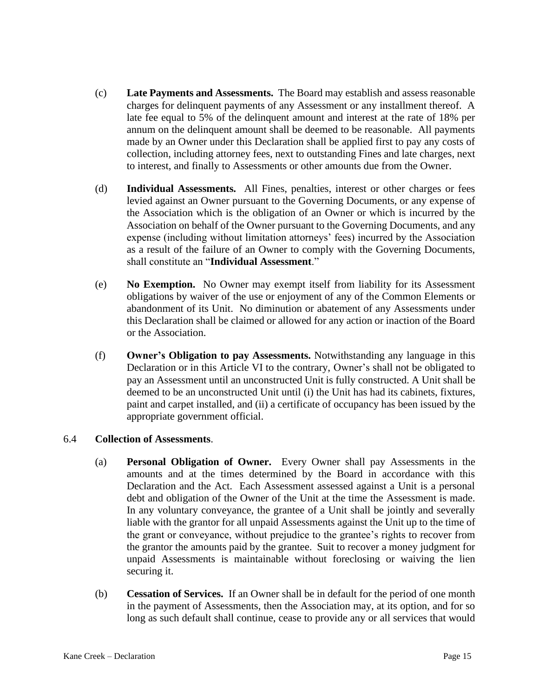- (c) **Late Payments and Assessments.** The Board may establish and assess reasonable charges for delinquent payments of any Assessment or any installment thereof. A late fee equal to 5% of the delinquent amount and interest at the rate of 18% per annum on the delinquent amount shall be deemed to be reasonable. All payments made by an Owner under this Declaration shall be applied first to pay any costs of collection, including attorney fees, next to outstanding Fines and late charges, next to interest, and finally to Assessments or other amounts due from the Owner.
- (d) **Individual Assessments.** All Fines, penalties, interest or other charges or fees levied against an Owner pursuant to the Governing Documents, or any expense of the Association which is the obligation of an Owner or which is incurred by the Association on behalf of the Owner pursuant to the Governing Documents, and any expense (including without limitation attorneys' fees) incurred by the Association as a result of the failure of an Owner to comply with the Governing Documents, shall constitute an "**Individual Assessment**."
- (e) **No Exemption.** No Owner may exempt itself from liability for its Assessment obligations by waiver of the use or enjoyment of any of the Common Elements or abandonment of its Unit. No diminution or abatement of any Assessments under this Declaration shall be claimed or allowed for any action or inaction of the Board or the Association.
- (f) **Owner's Obligation to pay Assessments.** Notwithstanding any language in this Declaration or in this Article VI to the contrary, Owner's shall not be obligated to pay an Assessment until an unconstructed Unit is fully constructed. A Unit shall be deemed to be an unconstructed Unit until (i) the Unit has had its cabinets, fixtures, paint and carpet installed, and (ii) a certificate of occupancy has been issued by the appropriate government official.

#### 6.4 **Collection of Assessments**.

- (a) **Personal Obligation of Owner.** Every Owner shall pay Assessments in the amounts and at the times determined by the Board in accordance with this Declaration and the Act. Each Assessment assessed against a Unit is a personal debt and obligation of the Owner of the Unit at the time the Assessment is made. In any voluntary conveyance, the grantee of a Unit shall be jointly and severally liable with the grantor for all unpaid Assessments against the Unit up to the time of the grant or conveyance, without prejudice to the grantee's rights to recover from the grantor the amounts paid by the grantee. Suit to recover a money judgment for unpaid Assessments is maintainable without foreclosing or waiving the lien securing it.
- (b) **Cessation of Services.** If an Owner shall be in default for the period of one month in the payment of Assessments, then the Association may, at its option, and for so long as such default shall continue, cease to provide any or all services that would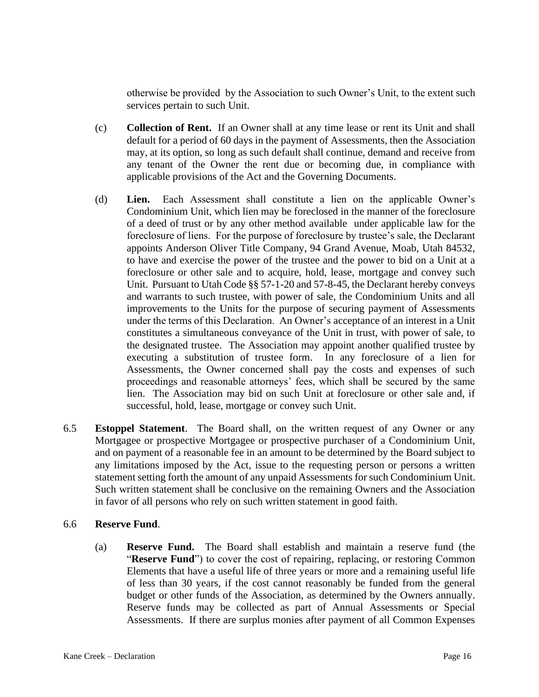otherwise be provided by the Association to such Owner's Unit, to the extent such services pertain to such Unit.

- (c) **Collection of Rent.** If an Owner shall at any time lease or rent its Unit and shall default for a period of 60 days in the payment of Assessments, then the Association may, at its option, so long as such default shall continue, demand and receive from any tenant of the Owner the rent due or becoming due, in compliance with applicable provisions of the Act and the Governing Documents.
- (d) **Lien.** Each Assessment shall constitute a lien on the applicable Owner's Condominium Unit, which lien may be foreclosed in the manner of the foreclosure of a deed of trust or by any other method available under applicable law for the foreclosure of liens. For the purpose of foreclosure by trustee's sale, the Declarant appoints Anderson Oliver Title Company, 94 Grand Avenue, Moab, Utah 84532, to have and exercise the power of the trustee and the power to bid on a Unit at a foreclosure or other sale and to acquire, hold, lease, mortgage and convey such Unit. Pursuant to Utah Code §§ 57-1-20 and 57-8-45, the Declarant hereby conveys and warrants to such trustee, with power of sale, the Condominium Units and all improvements to the Units for the purpose of securing payment of Assessments under the terms of this Declaration. An Owner's acceptance of an interest in a Unit constitutes a simultaneous conveyance of the Unit in trust, with power of sale, to the designated trustee. The Association may appoint another qualified trustee by executing a substitution of trustee form. In any foreclosure of a lien for Assessments, the Owner concerned shall pay the costs and expenses of such proceedings and reasonable attorneys' fees, which shall be secured by the same lien. The Association may bid on such Unit at foreclosure or other sale and, if successful, hold, lease, mortgage or convey such Unit.
- 6.5 **Estoppel Statement**. The Board shall, on the written request of any Owner or any Mortgagee or prospective Mortgagee or prospective purchaser of a Condominium Unit, and on payment of a reasonable fee in an amount to be determined by the Board subject to any limitations imposed by the Act, issue to the requesting person or persons a written statement setting forth the amount of any unpaid Assessments for such Condominium Unit. Such written statement shall be conclusive on the remaining Owners and the Association in favor of all persons who rely on such written statement in good faith.

#### 6.6 **Reserve Fund**.

(a) **Reserve Fund.** The Board shall establish and maintain a reserve fund (the "**Reserve Fund**") to cover the cost of repairing, replacing, or restoring Common Elements that have a useful life of three years or more and a remaining useful life of less than 30 years, if the cost cannot reasonably be funded from the general budget or other funds of the Association, as determined by the Owners annually. Reserve funds may be collected as part of Annual Assessments or Special Assessments. If there are surplus monies after payment of all Common Expenses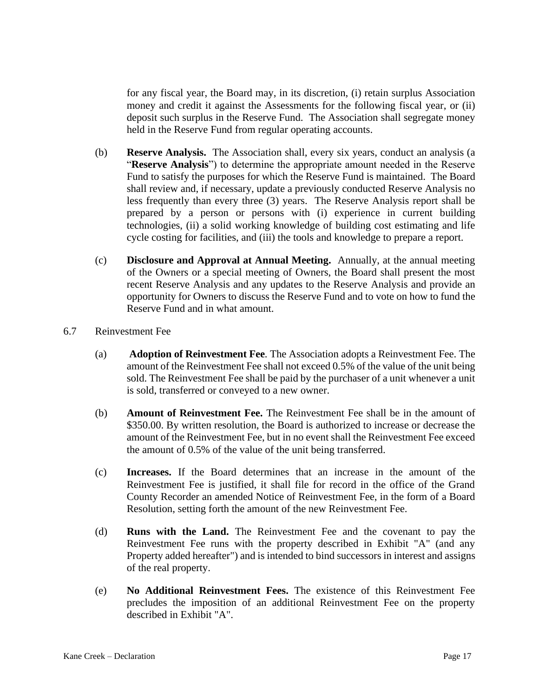for any fiscal year, the Board may, in its discretion, (i) retain surplus Association money and credit it against the Assessments for the following fiscal year, or (ii) deposit such surplus in the Reserve Fund. The Association shall segregate money held in the Reserve Fund from regular operating accounts.

- (b) **Reserve Analysis.** The Association shall, every six years, conduct an analysis (a "**Reserve Analysis**") to determine the appropriate amount needed in the Reserve Fund to satisfy the purposes for which the Reserve Fund is maintained. The Board shall review and, if necessary, update a previously conducted Reserve Analysis no less frequently than every three (3) years. The Reserve Analysis report shall be prepared by a person or persons with (i) experience in current building technologies, (ii) a solid working knowledge of building cost estimating and life cycle costing for facilities, and (iii) the tools and knowledge to prepare a report.
- (c) **Disclosure and Approval at Annual Meeting.** Annually, at the annual meeting of the Owners or a special meeting of Owners, the Board shall present the most recent Reserve Analysis and any updates to the Reserve Analysis and provide an opportunity for Owners to discuss the Reserve Fund and to vote on how to fund the Reserve Fund and in what amount.
- 6.7 Reinvestment Fee
	- (a) **Adoption of Reinvestment Fee***.* The Association adopts a Reinvestment Fee. The amount of the Reinvestment Fee shall not exceed 0.5% of the value of the unit being sold. The Reinvestment Fee shall be paid by the purchaser of a unit whenever a unit is sold, transferred or conveyed to a new owner.
	- (b) **Amount of Reinvestment Fee.** The Reinvestment Fee shall be in the amount of \$350.00. By written resolution, the Board is authorized to increase or decrease the amount of the Reinvestment Fee, but in no event shall the Reinvestment Fee exceed the amount of 0.5% of the value of the unit being transferred.
	- (c) **Increases.** If the Board determines that an increase in the amount of the Reinvestment Fee is justified, it shall file for record in the office of the Grand County Recorder an amended Notice of Reinvestment Fee, in the form of a Board Resolution, setting forth the amount of the new Reinvestment Fee.
	- (d) **Runs with the Land.** The Reinvestment Fee and the covenant to pay the Reinvestment Fee runs with the property described in Exhibit "A" (and any Property added hereafter") and is intended to bind successors in interest and assigns of the real property.
	- (e) **No Additional Reinvestment Fees.** The existence of this Reinvestment Fee precludes the imposition of an additional Reinvestment Fee on the property described in Exhibit "A".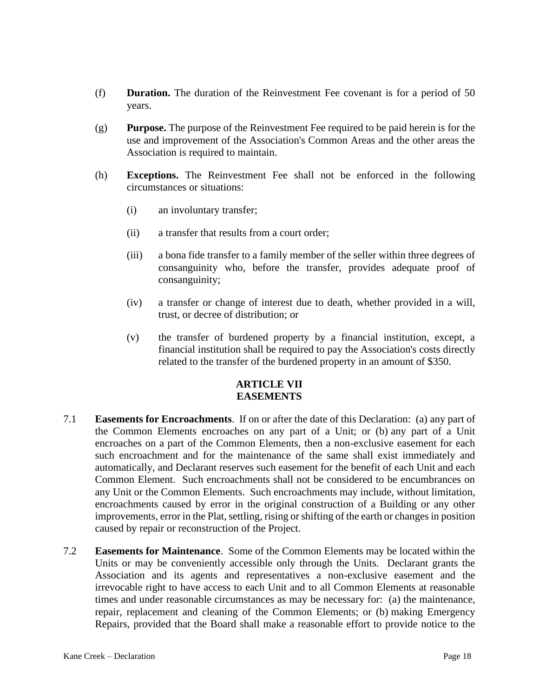- (f) **Duration.** The duration of the Reinvestment Fee covenant is for a period of 50 years.
- (g) **Purpose.** The purpose of the Reinvestment Fee required to be paid herein is for the use and improvement of the Association's Common Areas and the other areas the Association is required to maintain.
- (h) **Exceptions.** The Reinvestment Fee shall not be enforced in the following circumstances or situations:
	- (i) an involuntary transfer;
	- (ii) a transfer that results from a court order;
	- (iii) a bona fide transfer to a family member of the seller within three degrees of consanguinity who, before the transfer, provides adequate proof of consanguinity;
	- (iv) a transfer or change of interest due to death, whether provided in a will, trust, or decree of distribution; or
	- (v) the transfer of burdened property by a financial institution, except, a financial institution shall be required to pay the Association's costs directly related to the transfer of the burdened property in an amount of \$350.

### **ARTICLE VII EASEMENTS**

- 7.1 **Easements for Encroachments**. If on or after the date of this Declaration: (a) any part of the Common Elements encroaches on any part of a Unit; or (b) any part of a Unit encroaches on a part of the Common Elements, then a non-exclusive easement for each such encroachment and for the maintenance of the same shall exist immediately and automatically, and Declarant reserves such easement for the benefit of each Unit and each Common Element. Such encroachments shall not be considered to be encumbrances on any Unit or the Common Elements. Such encroachments may include, without limitation, encroachments caused by error in the original construction of a Building or any other improvements, error in the Plat, settling, rising or shifting of the earth or changes in position caused by repair or reconstruction of the Project.
- 7.2 **Easements for Maintenance**. Some of the Common Elements may be located within the Units or may be conveniently accessible only through the Units. Declarant grants the Association and its agents and representatives a non-exclusive easement and the irrevocable right to have access to each Unit and to all Common Elements at reasonable times and under reasonable circumstances as may be necessary for: (a) the maintenance, repair, replacement and cleaning of the Common Elements; or (b) making Emergency Repairs, provided that the Board shall make a reasonable effort to provide notice to the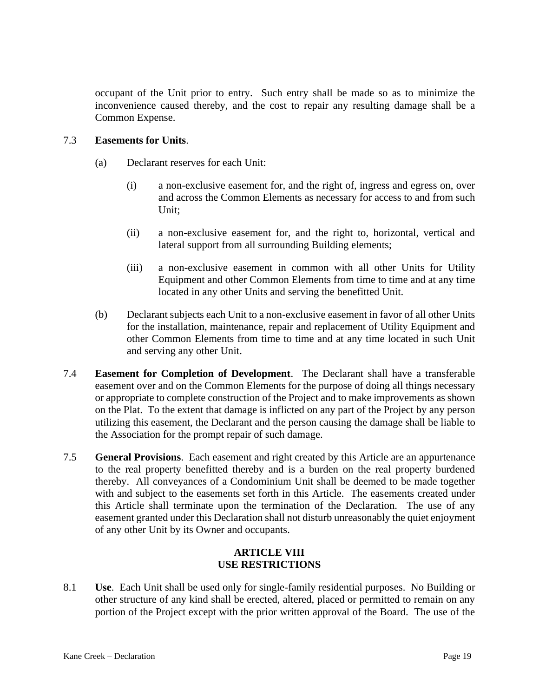occupant of the Unit prior to entry. Such entry shall be made so as to minimize the inconvenience caused thereby, and the cost to repair any resulting damage shall be a Common Expense.

#### 7.3 **Easements for Units**.

- (a) Declarant reserves for each Unit:
	- (i) a non-exclusive easement for, and the right of, ingress and egress on, over and across the Common Elements as necessary for access to and from such Unit;
	- (ii) a non-exclusive easement for, and the right to, horizontal, vertical and lateral support from all surrounding Building elements;
	- (iii) a non-exclusive easement in common with all other Units for Utility Equipment and other Common Elements from time to time and at any time located in any other Units and serving the benefitted Unit.
- (b) Declarant subjects each Unit to a non-exclusive easement in favor of all other Units for the installation, maintenance, repair and replacement of Utility Equipment and other Common Elements from time to time and at any time located in such Unit and serving any other Unit.
- 7.4 **Easement for Completion of Development**. The Declarant shall have a transferable easement over and on the Common Elements for the purpose of doing all things necessary or appropriate to complete construction of the Project and to make improvements as shown on the Plat. To the extent that damage is inflicted on any part of the Project by any person utilizing this easement, the Declarant and the person causing the damage shall be liable to the Association for the prompt repair of such damage.
- 7.5 **General Provisions**. Each easement and right created by this Article are an appurtenance to the real property benefitted thereby and is a burden on the real property burdened thereby. All conveyances of a Condominium Unit shall be deemed to be made together with and subject to the easements set forth in this Article. The easements created under this Article shall terminate upon the termination of the Declaration. The use of any easement granted under this Declaration shall not disturb unreasonably the quiet enjoyment of any other Unit by its Owner and occupants.

### **ARTICLE VIII USE RESTRICTIONS**

8.1 **Use**. Each Unit shall be used only for single-family residential purposes. No Building or other structure of any kind shall be erected, altered, placed or permitted to remain on any portion of the Project except with the prior written approval of the Board. The use of the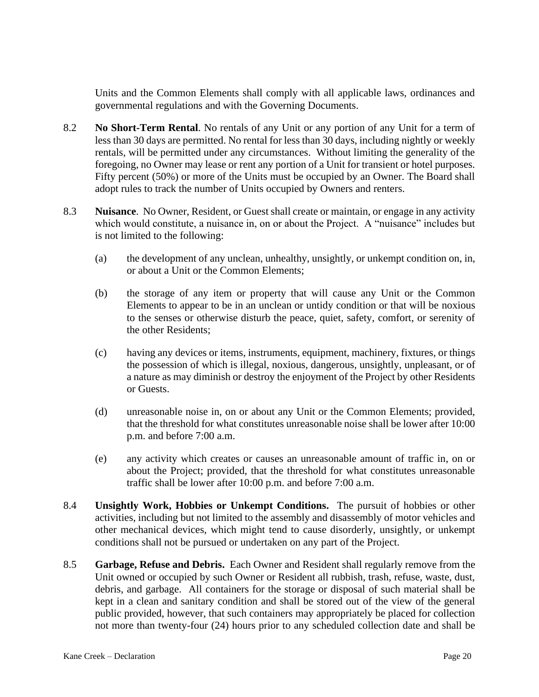Units and the Common Elements shall comply with all applicable laws, ordinances and governmental regulations and with the Governing Documents.

- 8.2 **No Short-Term Rental**. No rentals of any Unit or any portion of any Unit for a term of less than 30 days are permitted. No rental for less than 30 days, including nightly or weekly rentals, will be permitted under any circumstances. Without limiting the generality of the foregoing, no Owner may lease or rent any portion of a Unit for transient or hotel purposes. Fifty percent (50%) or more of the Units must be occupied by an Owner. The Board shall adopt rules to track the number of Units occupied by Owners and renters.
- 8.3 **Nuisance**. No Owner, Resident, or Guest shall create or maintain, or engage in any activity which would constitute, a nuisance in, on or about the Project. A "nuisance" includes but is not limited to the following:
	- (a) the development of any unclean, unhealthy, unsightly, or unkempt condition on, in, or about a Unit or the Common Elements;
	- (b) the storage of any item or property that will cause any Unit or the Common Elements to appear to be in an unclean or untidy condition or that will be noxious to the senses or otherwise disturb the peace, quiet, safety, comfort, or serenity of the other Residents;
	- (c) having any devices or items, instruments, equipment, machinery, fixtures, or things the possession of which is illegal, noxious, dangerous, unsightly, unpleasant, or of a nature as may diminish or destroy the enjoyment of the Project by other Residents or Guests.
	- (d) unreasonable noise in, on or about any Unit or the Common Elements; provided, that the threshold for what constitutes unreasonable noise shall be lower after 10:00 p.m. and before 7:00 a.m.
	- (e) any activity which creates or causes an unreasonable amount of traffic in, on or about the Project; provided, that the threshold for what constitutes unreasonable traffic shall be lower after 10:00 p.m. and before 7:00 a.m.
- 8.4 **Unsightly Work, Hobbies or Unkempt Conditions.** The pursuit of hobbies or other activities, including but not limited to the assembly and disassembly of motor vehicles and other mechanical devices, which might tend to cause disorderly, unsightly, or unkempt conditions shall not be pursued or undertaken on any part of the Project.
- 8.5 **Garbage, Refuse and Debris.** Each Owner and Resident shall regularly remove from the Unit owned or occupied by such Owner or Resident all rubbish, trash, refuse, waste, dust, debris, and garbage. All containers for the storage or disposal of such material shall be kept in a clean and sanitary condition and shall be stored out of the view of the general public provided, however, that such containers may appropriately be placed for collection not more than twenty-four (24) hours prior to any scheduled collection date and shall be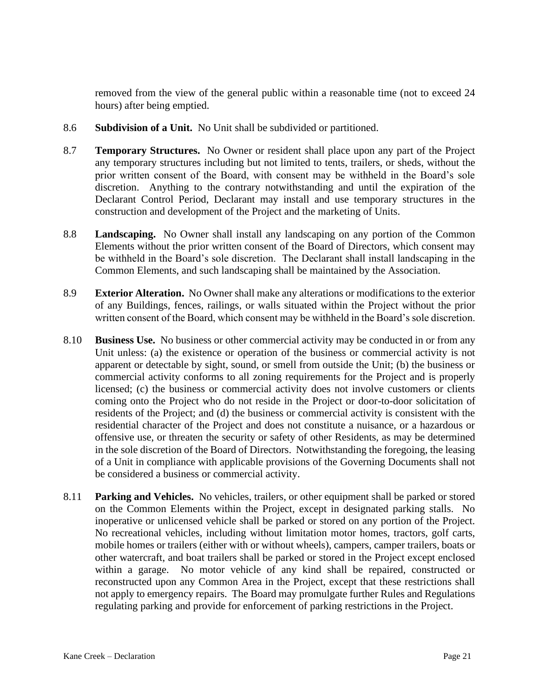removed from the view of the general public within a reasonable time (not to exceed 24 hours) after being emptied.

- 8.6 **Subdivision of a Unit.** No Unit shall be subdivided or partitioned.
- 8.7 **Temporary Structures.** No Owner or resident shall place upon any part of the Project any temporary structures including but not limited to tents, trailers, or sheds, without the prior written consent of the Board, with consent may be withheld in the Board's sole discretion. Anything to the contrary notwithstanding and until the expiration of the Declarant Control Period, Declarant may install and use temporary structures in the construction and development of the Project and the marketing of Units.
- 8.8 **Landscaping.** No Owner shall install any landscaping on any portion of the Common Elements without the prior written consent of the Board of Directors, which consent may be withheld in the Board's sole discretion. The Declarant shall install landscaping in the Common Elements, and such landscaping shall be maintained by the Association.
- 8.9 **Exterior Alteration.** No Owner shall make any alterations or modifications to the exterior of any Buildings, fences, railings, or walls situated within the Project without the prior written consent of the Board, which consent may be withheld in the Board's sole discretion.
- 8.10 **Business Use.** No business or other commercial activity may be conducted in or from any Unit unless: (a) the existence or operation of the business or commercial activity is not apparent or detectable by sight, sound, or smell from outside the Unit; (b) the business or commercial activity conforms to all zoning requirements for the Project and is properly licensed; (c) the business or commercial activity does not involve customers or clients coming onto the Project who do not reside in the Project or door-to-door solicitation of residents of the Project; and (d) the business or commercial activity is consistent with the residential character of the Project and does not constitute a nuisance, or a hazardous or offensive use, or threaten the security or safety of other Residents, as may be determined in the sole discretion of the Board of Directors. Notwithstanding the foregoing, the leasing of a Unit in compliance with applicable provisions of the Governing Documents shall not be considered a business or commercial activity.
- 8.11 **Parking and Vehicles.** No vehicles, trailers, or other equipment shall be parked or stored on the Common Elements within the Project, except in designated parking stalls. No inoperative or unlicensed vehicle shall be parked or stored on any portion of the Project. No recreational vehicles, including without limitation motor homes, tractors, golf carts, mobile homes or trailers (either with or without wheels), campers, camper trailers, boats or other watercraft, and boat trailers shall be parked or stored in the Project except enclosed within a garage. No motor vehicle of any kind shall be repaired, constructed or reconstructed upon any Common Area in the Project, except that these restrictions shall not apply to emergency repairs. The Board may promulgate further Rules and Regulations regulating parking and provide for enforcement of parking restrictions in the Project.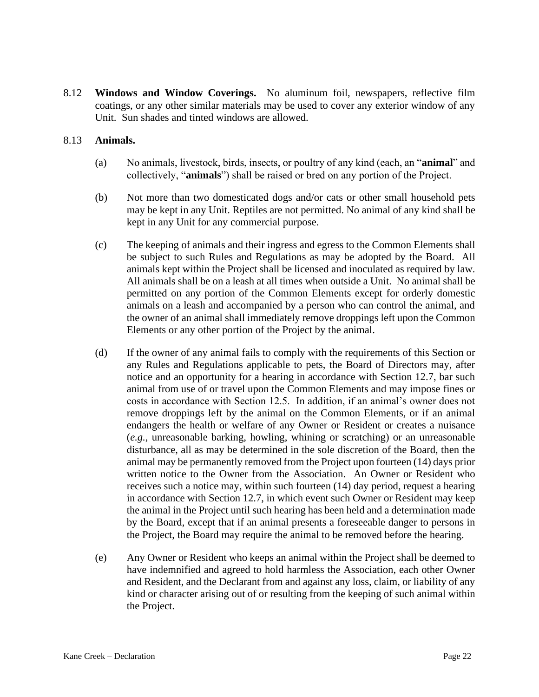8.12 **Windows and Window Coverings.** No aluminum foil, newspapers, reflective film coatings, or any other similar materials may be used to cover any exterior window of any Unit. Sun shades and tinted windows are allowed.

#### 8.13 **Animals.**

- (a) No animals, livestock, birds, insects, or poultry of any kind (each, an "**animal**" and collectively, "**animals**") shall be raised or bred on any portion of the Project.
- (b) Not more than two domesticated dogs and/or cats or other small household pets may be kept in any Unit. Reptiles are not permitted. No animal of any kind shall be kept in any Unit for any commercial purpose.
- (c) The keeping of animals and their ingress and egress to the Common Elements shall be subject to such Rules and Regulations as may be adopted by the Board. All animals kept within the Project shall be licensed and inoculated as required by law. All animals shall be on a leash at all times when outside a Unit. No animal shall be permitted on any portion of the Common Elements except for orderly domestic animals on a leash and accompanied by a person who can control the animal, and the owner of an animal shall immediately remove droppings left upon the Common Elements or any other portion of the Project by the animal.
- (d) If the owner of any animal fails to comply with the requirements of this Section or any Rules and Regulations applicable to pets, the Board of Directors may, after notice and an opportunity for a hearing in accordance with Section 12.7, bar such animal from use of or travel upon the Common Elements and may impose fines or costs in accordance with Section 12.5. In addition, if an animal's owner does not remove droppings left by the animal on the Common Elements, or if an animal endangers the health or welfare of any Owner or Resident or creates a nuisance (*e.g.*, unreasonable barking, howling, whining or scratching) or an unreasonable disturbance, all as may be determined in the sole discretion of the Board, then the animal may be permanently removed from the Project upon fourteen (14) days prior written notice to the Owner from the Association. An Owner or Resident who receives such a notice may, within such fourteen (14) day period, request a hearing in accordance with Section 12.7, in which event such Owner or Resident may keep the animal in the Project until such hearing has been held and a determination made by the Board, except that if an animal presents a foreseeable danger to persons in the Project, the Board may require the animal to be removed before the hearing.
- (e) Any Owner or Resident who keeps an animal within the Project shall be deemed to have indemnified and agreed to hold harmless the Association, each other Owner and Resident, and the Declarant from and against any loss, claim, or liability of any kind or character arising out of or resulting from the keeping of such animal within the Project.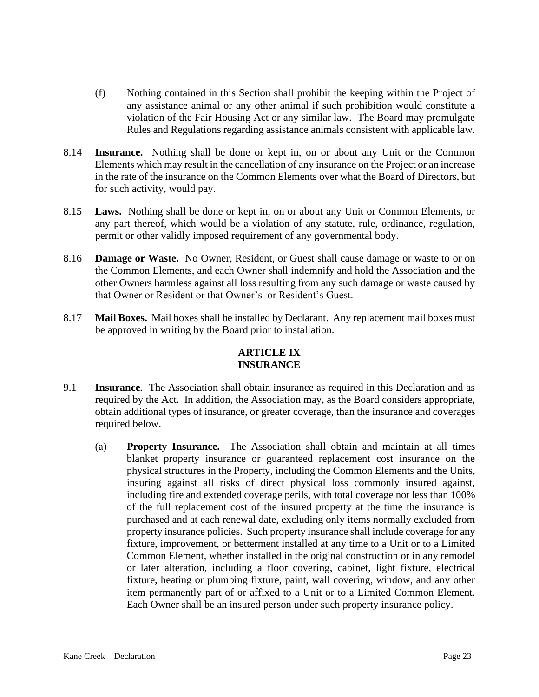- (f) Nothing contained in this Section shall prohibit the keeping within the Project of any assistance animal or any other animal if such prohibition would constitute a violation of the Fair Housing Act or any similar law. The Board may promulgate Rules and Regulations regarding assistance animals consistent with applicable law.
- 8.14 **Insurance.** Nothing shall be done or kept in, on or about any Unit or the Common Elements which may result in the cancellation of any insurance on the Project or an increase in the rate of the insurance on the Common Elements over what the Board of Directors, but for such activity, would pay.
- 8.15 **Laws.** Nothing shall be done or kept in, on or about any Unit or Common Elements, or any part thereof, which would be a violation of any statute, rule, ordinance, regulation, permit or other validly imposed requirement of any governmental body.
- 8.16 **Damage or Waste.** No Owner, Resident, or Guest shall cause damage or waste to or on the Common Elements, and each Owner shall indemnify and hold the Association and the other Owners harmless against all loss resulting from any such damage or waste caused by that Owner or Resident or that Owner's or Resident's Guest.
- 8.17 **Mail Boxes.** Mail boxes shall be installed by Declarant. Any replacement mail boxes must be approved in writing by the Board prior to installation.

# **ARTICLE IX INSURANCE**

- 9.1 **Insurance***.* The Association shall obtain insurance as required in this Declaration and as required by the Act. In addition, the Association may, as the Board considers appropriate, obtain additional types of insurance, or greater coverage, than the insurance and coverages required below.
	- (a) **Property Insurance.** The Association shall obtain and maintain at all times blanket property insurance or guaranteed replacement cost insurance on the physical structures in the Property, including the Common Elements and the Units, insuring against all risks of direct physical loss commonly insured against, including fire and extended coverage perils, with total coverage not less than 100% of the full replacement cost of the insured property at the time the insurance is purchased and at each renewal date, excluding only items normally excluded from property insurance policies. Such property insurance shall include coverage for any fixture, improvement, or betterment installed at any time to a Unit or to a Limited Common Element, whether installed in the original construction or in any remodel or later alteration, including a floor covering, cabinet, light fixture, electrical fixture, heating or plumbing fixture, paint, wall covering, window, and any other item permanently part of or affixed to a Unit or to a Limited Common Element. Each Owner shall be an insured person under such property insurance policy.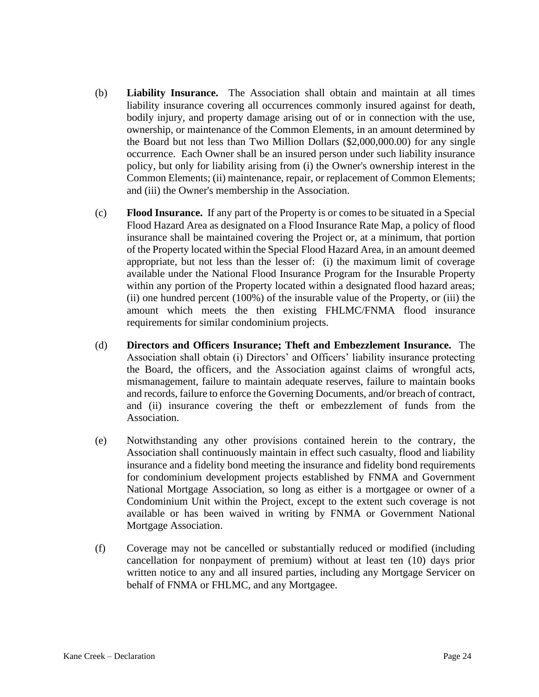- (b) **Liability Insurance.** The Association shall obtain and maintain at all times liability insurance covering all occurrences commonly insured against for death, bodily injury, and property damage arising out of or in connection with the use, ownership, or maintenance of the Common Elements, in an amount determined by the Board but not less than Two Million Dollars (\$2,000,000.00) for any single occurrence. Each Owner shall be an insured person under such liability insurance policy, but only for liability arising from (i) the Owner's ownership interest in the Common Elements; (ii) maintenance, repair, or replacement of Common Elements; and (iii) the Owner's membership in the Association.
- (c) **Flood Insurance.** If any part of the Property is or comes to be situated in a Special Flood Hazard Area as designated on a Flood Insurance Rate Map, a policy of flood insurance shall be maintained covering the Project or, at a minimum, that portion of the Property located within the Special Flood Hazard Area, in an amount deemed appropriate, but not less than the lesser of: (i) the maximum limit of coverage available under the National Flood Insurance Program for the Insurable Property within any portion of the Property located within a designated flood hazard areas; (ii) one hundred percent (100%) of the insurable value of the Property, or (iii) the amount which meets the then existing FHLMC/FNMA flood insurance requirements for similar condominium projects.
- (d) **Directors and Officers Insurance; Theft and Embezzlement Insurance.** The Association shall obtain (i) Directors' and Officers' liability insurance protecting the Board, the officers, and the Association against claims of wrongful acts, mismanagement, failure to maintain adequate reserves, failure to maintain books and records, failure to enforce the Governing Documents, and/or breach of contract, and (ii) insurance covering the theft or embezzlement of funds from the Association.
- (e) Notwithstanding any other provisions contained herein to the contrary, the Association shall continuously maintain in effect such casualty, flood and liability insurance and a fidelity bond meeting the insurance and fidelity bond requirements for condominium development projects established by FNMA and Government National Mortgage Association, so long as either is a mortgagee or owner of a Condominium Unit within the Project, except to the extent such coverage is not available or has been waived in writing by FNMA or Government National Mortgage Association.
- (f) Coverage may not be cancelled or substantially reduced or modified (including cancellation for nonpayment of premium) without at least ten (10) days prior written notice to any and all insured parties, including any Mortgage Servicer on behalf of FNMA or FHLMC, and any Mortgagee.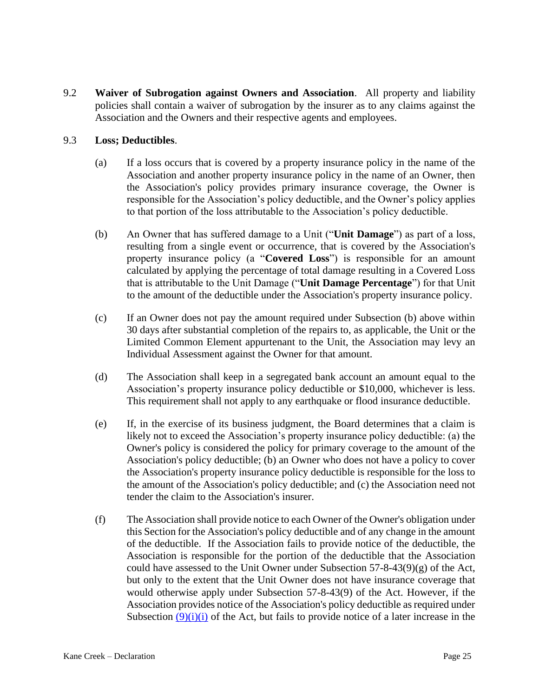9.2 **Waiver of Subrogation against Owners and Association**. All property and liability policies shall contain a waiver of subrogation by the insurer as to any claims against the Association and the Owners and their respective agents and employees.

#### 9.3 **Loss; Deductibles**.

- (a) If a loss occurs that is covered by a property insurance policy in the name of the Association and another property insurance policy in the name of an Owner, then the Association's policy provides primary insurance coverage, the Owner is responsible for the Association's policy deductible, and the Owner's policy applies to that portion of the loss attributable to the Association's policy deductible.
- (b) An Owner that has suffered damage to a Unit ("**Unit Damage**") as part of a loss, resulting from a single event or occurrence, that is covered by the Association's property insurance policy (a "**Covered Loss**") is responsible for an amount calculated by applying the percentage of total damage resulting in a Covered Loss that is attributable to the Unit Damage ("**Unit Damage Percentage**") for that Unit to the amount of the deductible under the Association's property insurance policy.
- (c) If an Owner does not pay the amount required under Subsection (b) above within 30 days after substantial completion of the repairs to, as applicable, the Unit or the Limited Common Element appurtenant to the Unit, the Association may levy an Individual Assessment against the Owner for that amount.
- (d) The Association shall keep in a segregated bank account an amount equal to the Association's property insurance policy deductible or \$10,000, whichever is less. This requirement shall not apply to any earthquake or flood insurance deductible.
- (e) If, in the exercise of its business judgment, the Board determines that a claim is likely not to exceed the Association's property insurance policy deductible: (a) the Owner's policy is considered the policy for primary coverage to the amount of the Association's policy deductible; (b) an Owner who does not have a policy to cover the Association's property insurance policy deductible is responsible for the loss to the amount of the Association's policy deductible; and (c) the Association need not tender the claim to the Association's insurer.
- (f) The Association shall provide notice to each Owner of the Owner's obligation under this Section for the Association's policy deductible and of any change in the amount of the deductible. If the Association fails to provide notice of the deductible, the Association is responsible for the portion of the deductible that the Association could have assessed to the Unit Owner under Subsection  $57-8-43(9)(g)$  of the Act, but only to the extent that the Unit Owner does not have insurance coverage that would otherwise apply under Subsection 57-8-43(9) of the Act. However, if the Association provides notice of the Association's policy deductible as required under Subsection  $(9)(i)(i)$  of the Act, but fails to provide notice of a later increase in the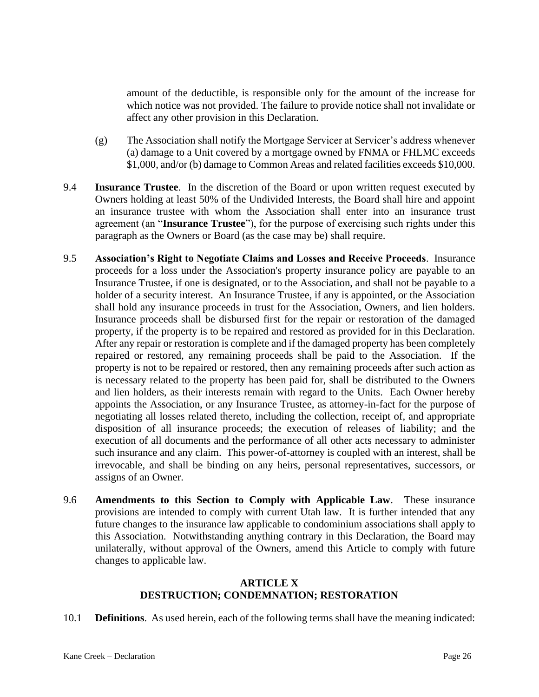amount of the deductible, is responsible only for the amount of the increase for which notice was not provided. The failure to provide notice shall not invalidate or affect any other provision in this Declaration.

- (g) The Association shall notify the Mortgage Servicer at Servicer's address whenever (a) damage to a Unit covered by a mortgage owned by FNMA or FHLMC exceeds \$1,000, and/or (b) damage to Common Areas and related facilities exceeds \$10,000.
- 9.4 **Insurance Trustee**. In the discretion of the Board or upon written request executed by Owners holding at least 50% of the Undivided Interests, the Board shall hire and appoint an insurance trustee with whom the Association shall enter into an insurance trust agreement (an "**Insurance Trustee**"), for the purpose of exercising such rights under this paragraph as the Owners or Board (as the case may be) shall require.
- 9.5 **Association's Right to Negotiate Claims and Losses and Receive Proceeds**. Insurance proceeds for a loss under the Association's property insurance policy are payable to an Insurance Trustee, if one is designated, or to the Association, and shall not be payable to a holder of a security interest. An Insurance Trustee, if any is appointed, or the Association shall hold any insurance proceeds in trust for the Association, Owners, and lien holders. Insurance proceeds shall be disbursed first for the repair or restoration of the damaged property, if the property is to be repaired and restored as provided for in this Declaration. After any repair or restoration is complete and if the damaged property has been completely repaired or restored, any remaining proceeds shall be paid to the Association. If the property is not to be repaired or restored, then any remaining proceeds after such action as is necessary related to the property has been paid for, shall be distributed to the Owners and lien holders, as their interests remain with regard to the Units. Each Owner hereby appoints the Association, or any Insurance Trustee, as attorney-in-fact for the purpose of negotiating all losses related thereto, including the collection, receipt of, and appropriate disposition of all insurance proceeds; the execution of releases of liability; and the execution of all documents and the performance of all other acts necessary to administer such insurance and any claim. This power-of-attorney is coupled with an interest, shall be irrevocable, and shall be binding on any heirs, personal representatives, successors, or assigns of an Owner.
- 9.6 **Amendments to this Section to Comply with Applicable Law**. These insurance provisions are intended to comply with current Utah law. It is further intended that any future changes to the insurance law applicable to condominium associations shall apply to this Association. Notwithstanding anything contrary in this Declaration, the Board may unilaterally, without approval of the Owners, amend this Article to comply with future changes to applicable law.

#### **ARTICLE X DESTRUCTION; CONDEMNATION; RESTORATION**

10.1 **Definitions**. As used herein, each of the following terms shall have the meaning indicated: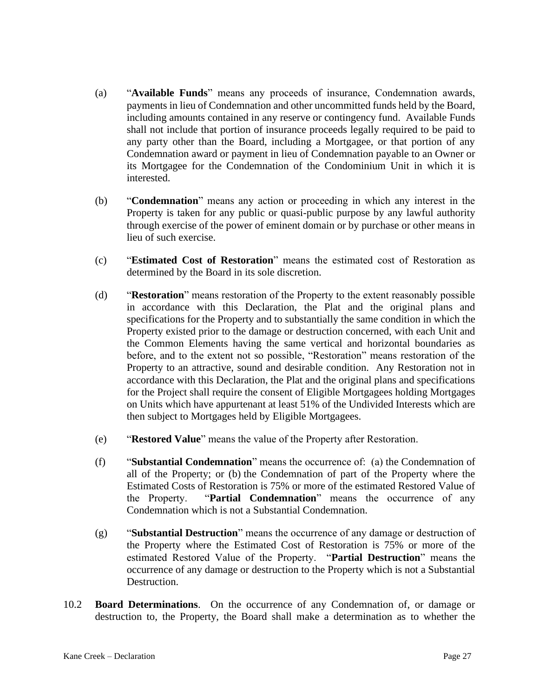- (a) "**Available Funds**" means any proceeds of insurance, Condemnation awards, payments in lieu of Condemnation and other uncommitted funds held by the Board, including amounts contained in any reserve or contingency fund. Available Funds shall not include that portion of insurance proceeds legally required to be paid to any party other than the Board, including a Mortgagee, or that portion of any Condemnation award or payment in lieu of Condemnation payable to an Owner or its Mortgagee for the Condemnation of the Condominium Unit in which it is interested.
- (b) "**Condemnation**" means any action or proceeding in which any interest in the Property is taken for any public or quasi-public purpose by any lawful authority through exercise of the power of eminent domain or by purchase or other means in lieu of such exercise.
- (c) "**Estimated Cost of Restoration**" means the estimated cost of Restoration as determined by the Board in its sole discretion.
- (d) "**Restoration**" means restoration of the Property to the extent reasonably possible in accordance with this Declaration, the Plat and the original plans and specifications for the Property and to substantially the same condition in which the Property existed prior to the damage or destruction concerned, with each Unit and the Common Elements having the same vertical and horizontal boundaries as before, and to the extent not so possible, "Restoration" means restoration of the Property to an attractive, sound and desirable condition. Any Restoration not in accordance with this Declaration, the Plat and the original plans and specifications for the Project shall require the consent of Eligible Mortgagees holding Mortgages on Units which have appurtenant at least 51% of the Undivided Interests which are then subject to Mortgages held by Eligible Mortgagees.
- (e) "**Restored Value**" means the value of the Property after Restoration.
- (f) "**Substantial Condemnation**" means the occurrence of: (a) the Condemnation of all of the Property; or (b) the Condemnation of part of the Property where the Estimated Costs of Restoration is 75% or more of the estimated Restored Value of the Property. "**Partial Condemnation**" means the occurrence of any Condemnation which is not a Substantial Condemnation.
- (g) "**Substantial Destruction**" means the occurrence of any damage or destruction of the Property where the Estimated Cost of Restoration is 75% or more of the estimated Restored Value of the Property. "**Partial Destruction**" means the occurrence of any damage or destruction to the Property which is not a Substantial Destruction.
- 10.2 **Board Determinations**. On the occurrence of any Condemnation of, or damage or destruction to, the Property, the Board shall make a determination as to whether the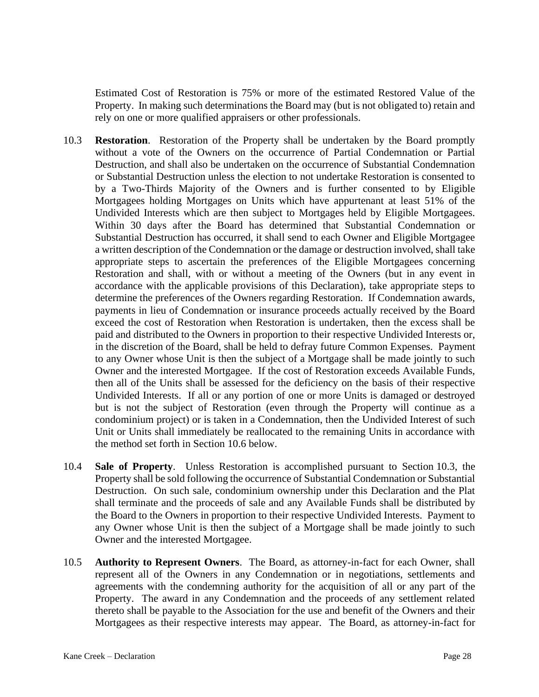Estimated Cost of Restoration is 75% or more of the estimated Restored Value of the Property. In making such determinations the Board may (but is not obligated to) retain and rely on one or more qualified appraisers or other professionals.

- 10.3 **Restoration**. Restoration of the Property shall be undertaken by the Board promptly without a vote of the Owners on the occurrence of Partial Condemnation or Partial Destruction, and shall also be undertaken on the occurrence of Substantial Condemnation or Substantial Destruction unless the election to not undertake Restoration is consented to by a Two-Thirds Majority of the Owners and is further consented to by Eligible Mortgagees holding Mortgages on Units which have appurtenant at least 51% of the Undivided Interests which are then subject to Mortgages held by Eligible Mortgagees. Within 30 days after the Board has determined that Substantial Condemnation or Substantial Destruction has occurred, it shall send to each Owner and Eligible Mortgagee a written description of the Condemnation or the damage or destruction involved, shall take appropriate steps to ascertain the preferences of the Eligible Mortgagees concerning Restoration and shall, with or without a meeting of the Owners (but in any event in accordance with the applicable provisions of this Declaration), take appropriate steps to determine the preferences of the Owners regarding Restoration. If Condemnation awards, payments in lieu of Condemnation or insurance proceeds actually received by the Board exceed the cost of Restoration when Restoration is undertaken, then the excess shall be paid and distributed to the Owners in proportion to their respective Undivided Interests or, in the discretion of the Board, shall be held to defray future Common Expenses. Payment to any Owner whose Unit is then the subject of a Mortgage shall be made jointly to such Owner and the interested Mortgagee. If the cost of Restoration exceeds Available Funds, then all of the Units shall be assessed for the deficiency on the basis of their respective Undivided Interests. If all or any portion of one or more Units is damaged or destroyed but is not the subject of Restoration (even through the Property will continue as a condominium project) or is taken in a Condemnation, then the Undivided Interest of such Unit or Units shall immediately be reallocated to the remaining Units in accordance with the method set forth in Section 10.6 below.
- 10.4 **Sale of Property**. Unless Restoration is accomplished pursuant to Section 10.3, the Property shall be sold following the occurrence of Substantial Condemnation or Substantial Destruction. On such sale, condominium ownership under this Declaration and the Plat shall terminate and the proceeds of sale and any Available Funds shall be distributed by the Board to the Owners in proportion to their respective Undivided Interests. Payment to any Owner whose Unit is then the subject of a Mortgage shall be made jointly to such Owner and the interested Mortgagee.
- 10.5 **Authority to Represent Owners**. The Board, as attorney-in-fact for each Owner, shall represent all of the Owners in any Condemnation or in negotiations, settlements and agreements with the condemning authority for the acquisition of all or any part of the Property. The award in any Condemnation and the proceeds of any settlement related thereto shall be payable to the Association for the use and benefit of the Owners and their Mortgagees as their respective interests may appear. The Board, as attorney-in-fact for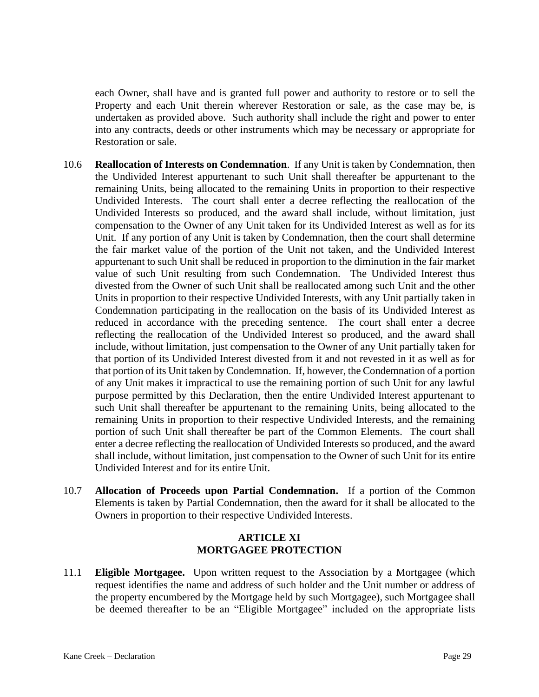each Owner, shall have and is granted full power and authority to restore or to sell the Property and each Unit therein wherever Restoration or sale, as the case may be, is undertaken as provided above. Such authority shall include the right and power to enter into any contracts, deeds or other instruments which may be necessary or appropriate for Restoration or sale.

- 10.6 **Reallocation of Interests on Condemnation**. If any Unit is taken by Condemnation, then the Undivided Interest appurtenant to such Unit shall thereafter be appurtenant to the remaining Units, being allocated to the remaining Units in proportion to their respective Undivided Interests. The court shall enter a decree reflecting the reallocation of the Undivided Interests so produced, and the award shall include, without limitation, just compensation to the Owner of any Unit taken for its Undivided Interest as well as for its Unit. If any portion of any Unit is taken by Condemnation, then the court shall determine the fair market value of the portion of the Unit not taken, and the Undivided Interest appurtenant to such Unit shall be reduced in proportion to the diminution in the fair market value of such Unit resulting from such Condemnation. The Undivided Interest thus divested from the Owner of such Unit shall be reallocated among such Unit and the other Units in proportion to their respective Undivided Interests, with any Unit partially taken in Condemnation participating in the reallocation on the basis of its Undivided Interest as reduced in accordance with the preceding sentence. The court shall enter a decree reflecting the reallocation of the Undivided Interest so produced, and the award shall include, without limitation, just compensation to the Owner of any Unit partially taken for that portion of its Undivided Interest divested from it and not revested in it as well as for that portion of its Unit taken by Condemnation. If, however, the Condemnation of a portion of any Unit makes it impractical to use the remaining portion of such Unit for any lawful purpose permitted by this Declaration, then the entire Undivided Interest appurtenant to such Unit shall thereafter be appurtenant to the remaining Units, being allocated to the remaining Units in proportion to their respective Undivided Interests, and the remaining portion of such Unit shall thereafter be part of the Common Elements. The court shall enter a decree reflecting the reallocation of Undivided Interests so produced, and the award shall include, without limitation, just compensation to the Owner of such Unit for its entire Undivided Interest and for its entire Unit.
- 10.7 **Allocation of Proceeds upon Partial Condemnation.** If a portion of the Common Elements is taken by Partial Condemnation, then the award for it shall be allocated to the Owners in proportion to their respective Undivided Interests.

### **ARTICLE XI MORTGAGEE PROTECTION**

11.1 **Eligible Mortgagee.** Upon written request to the Association by a Mortgagee (which request identifies the name and address of such holder and the Unit number or address of the property encumbered by the Mortgage held by such Mortgagee), such Mortgagee shall be deemed thereafter to be an "Eligible Mortgagee" included on the appropriate lists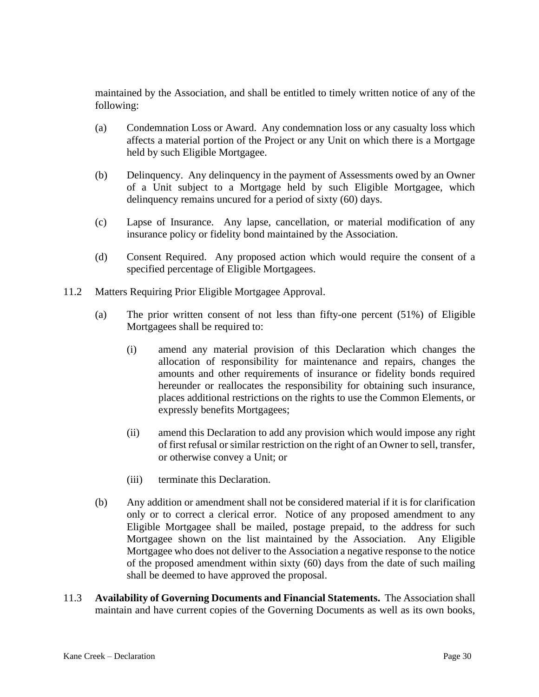maintained by the Association, and shall be entitled to timely written notice of any of the following:

- (a) Condemnation Loss or Award. Any condemnation loss or any casualty loss which affects a material portion of the Project or any Unit on which there is a Mortgage held by such Eligible Mortgagee.
- (b) Delinquency. Any delinquency in the payment of Assessments owed by an Owner of a Unit subject to a Mortgage held by such Eligible Mortgagee, which delinquency remains uncured for a period of sixty (60) days.
- (c) Lapse of Insurance. Any lapse, cancellation, or material modification of any insurance policy or fidelity bond maintained by the Association.
- (d) Consent Required. Any proposed action which would require the consent of a specified percentage of Eligible Mortgagees.
- 11.2 Matters Requiring Prior Eligible Mortgagee Approval.
	- (a) The prior written consent of not less than fifty-one percent (51%) of Eligible Mortgagees shall be required to:
		- (i) amend any material provision of this Declaration which changes the allocation of responsibility for maintenance and repairs, changes the amounts and other requirements of insurance or fidelity bonds required hereunder or reallocates the responsibility for obtaining such insurance, places additional restrictions on the rights to use the Common Elements, or expressly benefits Mortgagees;
		- (ii) amend this Declaration to add any provision which would impose any right of first refusal or similar restriction on the right of an Owner to sell, transfer, or otherwise convey a Unit; or
		- (iii) terminate this Declaration.
	- (b) Any addition or amendment shall not be considered material if it is for clarification only or to correct a clerical error. Notice of any proposed amendment to any Eligible Mortgagee shall be mailed, postage prepaid, to the address for such Mortgagee shown on the list maintained by the Association. Any Eligible Mortgagee who does not deliver to the Association a negative response to the notice of the proposed amendment within sixty (60) days from the date of such mailing shall be deemed to have approved the proposal.
- 11.3 **Availability of Governing Documents and Financial Statements.** The Association shall maintain and have current copies of the Governing Documents as well as its own books,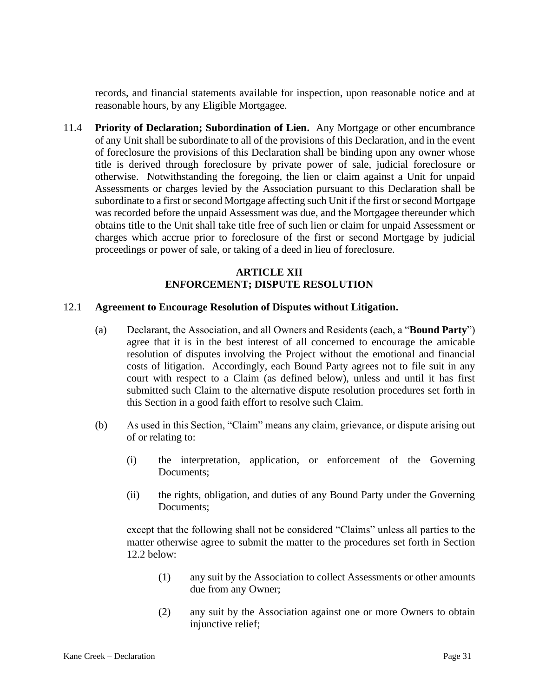records, and financial statements available for inspection, upon reasonable notice and at reasonable hours, by any Eligible Mortgagee.

11.4 **Priority of Declaration; Subordination of Lien.** Any Mortgage or other encumbrance of any Unit shall be subordinate to all of the provisions of this Declaration, and in the event of foreclosure the provisions of this Declaration shall be binding upon any owner whose title is derived through foreclosure by private power of sale, judicial foreclosure or otherwise. Notwithstanding the foregoing, the lien or claim against a Unit for unpaid Assessments or charges levied by the Association pursuant to this Declaration shall be subordinate to a first or second Mortgage affecting such Unit if the first or second Mortgage was recorded before the unpaid Assessment was due, and the Mortgagee thereunder which obtains title to the Unit shall take title free of such lien or claim for unpaid Assessment or charges which accrue prior to foreclosure of the first or second Mortgage by judicial proceedings or power of sale, or taking of a deed in lieu of foreclosure.

## **ARTICLE XII ENFORCEMENT; DISPUTE RESOLUTION**

#### 12.1 **Agreement to Encourage Resolution of Disputes without Litigation.**

- (a) Declarant, the Association, and all Owners and Residents (each, a "**Bound Party**") agree that it is in the best interest of all concerned to encourage the amicable resolution of disputes involving the Project without the emotional and financial costs of litigation. Accordingly, each Bound Party agrees not to file suit in any court with respect to a Claim (as defined below), unless and until it has first submitted such Claim to the alternative dispute resolution procedures set forth in this Section in a good faith effort to resolve such Claim.
- (b) As used in this Section, "Claim" means any claim, grievance, or dispute arising out of or relating to:
	- (i) the interpretation, application, or enforcement of the Governing Documents;
	- (ii) the rights, obligation, and duties of any Bound Party under the Governing Documents;

except that the following shall not be considered "Claims" unless all parties to the matter otherwise agree to submit the matter to the procedures set forth in Section 12.2 below:

- (1) any suit by the Association to collect Assessments or other amounts due from any Owner;
- (2) any suit by the Association against one or more Owners to obtain injunctive relief;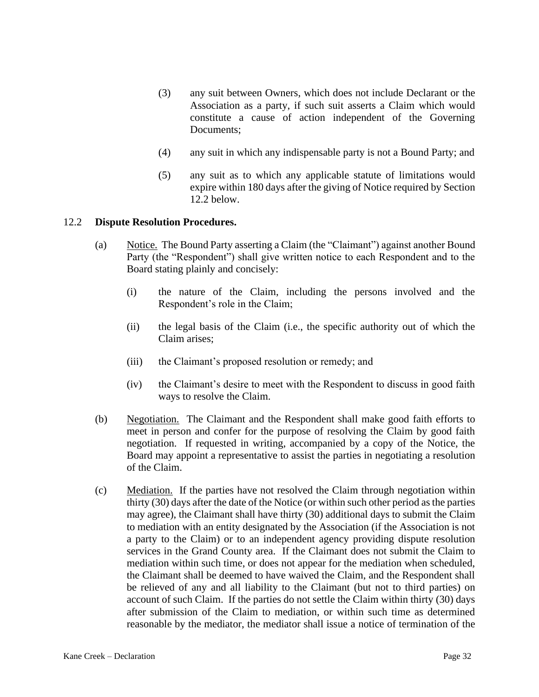- (3) any suit between Owners, which does not include Declarant or the Association as a party, if such suit asserts a Claim which would constitute a cause of action independent of the Governing Documents;
- (4) any suit in which any indispensable party is not a Bound Party; and
- (5) any suit as to which any applicable statute of limitations would expire within 180 days after the giving of Notice required by Section 12.2 below.

#### 12.2 **Dispute Resolution Procedures.**

- (a) Notice. The Bound Party asserting a Claim (the "Claimant") against another Bound Party (the "Respondent") shall give written notice to each Respondent and to the Board stating plainly and concisely:
	- (i) the nature of the Claim, including the persons involved and the Respondent's role in the Claim;
	- (ii) the legal basis of the Claim (i.e., the specific authority out of which the Claim arises;
	- (iii) the Claimant's proposed resolution or remedy; and
	- (iv) the Claimant's desire to meet with the Respondent to discuss in good faith ways to resolve the Claim.
- (b) Negotiation. The Claimant and the Respondent shall make good faith efforts to meet in person and confer for the purpose of resolving the Claim by good faith negotiation. If requested in writing, accompanied by a copy of the Notice, the Board may appoint a representative to assist the parties in negotiating a resolution of the Claim.
- (c) Mediation. If the parties have not resolved the Claim through negotiation within thirty (30) days after the date of the Notice (or within such other period as the parties may agree), the Claimant shall have thirty (30) additional days to submit the Claim to mediation with an entity designated by the Association (if the Association is not a party to the Claim) or to an independent agency providing dispute resolution services in the Grand County area. If the Claimant does not submit the Claim to mediation within such time, or does not appear for the mediation when scheduled, the Claimant shall be deemed to have waived the Claim, and the Respondent shall be relieved of any and all liability to the Claimant (but not to third parties) on account of such Claim. If the parties do not settle the Claim within thirty (30) days after submission of the Claim to mediation, or within such time as determined reasonable by the mediator, the mediator shall issue a notice of termination of the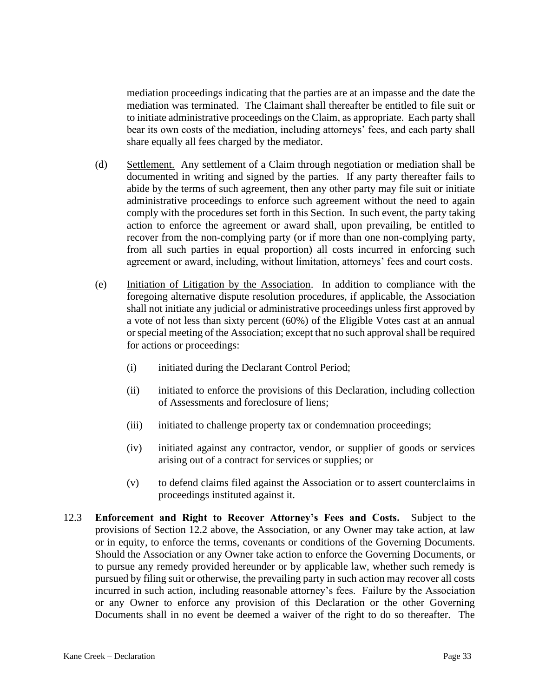mediation proceedings indicating that the parties are at an impasse and the date the mediation was terminated. The Claimant shall thereafter be entitled to file suit or to initiate administrative proceedings on the Claim, as appropriate. Each party shall bear its own costs of the mediation, including attorneys' fees, and each party shall share equally all fees charged by the mediator.

- (d) Settlement. Any settlement of a Claim through negotiation or mediation shall be documented in writing and signed by the parties. If any party thereafter fails to abide by the terms of such agreement, then any other party may file suit or initiate administrative proceedings to enforce such agreement without the need to again comply with the procedures set forth in this Section. In such event, the party taking action to enforce the agreement or award shall, upon prevailing, be entitled to recover from the non-complying party (or if more than one non-complying party, from all such parties in equal proportion) all costs incurred in enforcing such agreement or award, including, without limitation, attorneys' fees and court costs.
- (e) Initiation of Litigation by the Association. In addition to compliance with the foregoing alternative dispute resolution procedures, if applicable, the Association shall not initiate any judicial or administrative proceedings unless first approved by a vote of not less than sixty percent (60%) of the Eligible Votes cast at an annual or special meeting of the Association; except that no such approval shall be required for actions or proceedings:
	- (i) initiated during the Declarant Control Period;
	- (ii) initiated to enforce the provisions of this Declaration, including collection of Assessments and foreclosure of liens;
	- (iii) initiated to challenge property tax or condemnation proceedings;
	- (iv) initiated against any contractor, vendor, or supplier of goods or services arising out of a contract for services or supplies; or
	- (v) to defend claims filed against the Association or to assert counterclaims in proceedings instituted against it.
- 12.3 **Enforcement and Right to Recover Attorney's Fees and Costs.** Subject to the provisions of Section 12.2 above, the Association, or any Owner may take action, at law or in equity, to enforce the terms, covenants or conditions of the Governing Documents. Should the Association or any Owner take action to enforce the Governing Documents, or to pursue any remedy provided hereunder or by applicable law, whether such remedy is pursued by filing suit or otherwise, the prevailing party in such action may recover all costs incurred in such action, including reasonable attorney's fees. Failure by the Association or any Owner to enforce any provision of this Declaration or the other Governing Documents shall in no event be deemed a waiver of the right to do so thereafter. The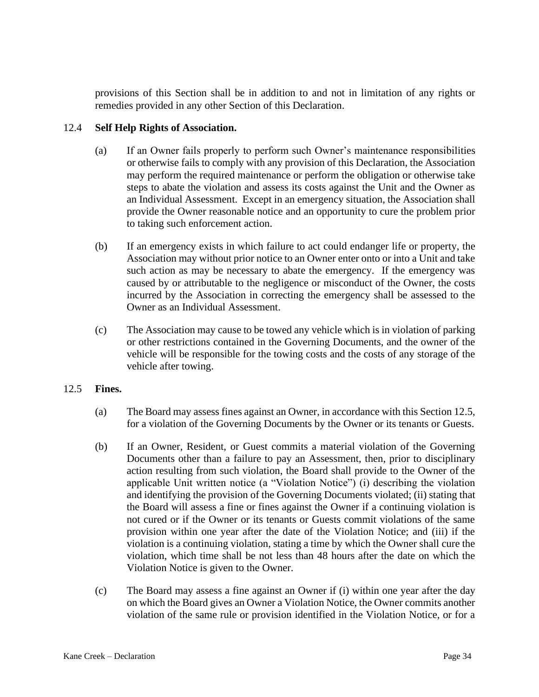provisions of this Section shall be in addition to and not in limitation of any rights or remedies provided in any other Section of this Declaration.

### 12.4 **Self Help Rights of Association.**

- (a) If an Owner fails properly to perform such Owner's maintenance responsibilities or otherwise fails to comply with any provision of this Declaration, the Association may perform the required maintenance or perform the obligation or otherwise take steps to abate the violation and assess its costs against the Unit and the Owner as an Individual Assessment. Except in an emergency situation, the Association shall provide the Owner reasonable notice and an opportunity to cure the problem prior to taking such enforcement action.
- (b) If an emergency exists in which failure to act could endanger life or property, the Association may without prior notice to an Owner enter onto or into a Unit and take such action as may be necessary to abate the emergency. If the emergency was caused by or attributable to the negligence or misconduct of the Owner, the costs incurred by the Association in correcting the emergency shall be assessed to the Owner as an Individual Assessment.
- (c) The Association may cause to be towed any vehicle which is in violation of parking or other restrictions contained in the Governing Documents, and the owner of the vehicle will be responsible for the towing costs and the costs of any storage of the vehicle after towing.

#### 12.5 **Fines.**

- (a) The Board may assess fines against an Owner, in accordance with this Section 12.5, for a violation of the Governing Documents by the Owner or its tenants or Guests.
- (b) If an Owner, Resident, or Guest commits a material violation of the Governing Documents other than a failure to pay an Assessment, then, prior to disciplinary action resulting from such violation, the Board shall provide to the Owner of the applicable Unit written notice (a "Violation Notice") (i) describing the violation and identifying the provision of the Governing Documents violated; (ii) stating that the Board will assess a fine or fines against the Owner if a continuing violation is not cured or if the Owner or its tenants or Guests commit violations of the same provision within one year after the date of the Violation Notice; and (iii) if the violation is a continuing violation, stating a time by which the Owner shall cure the violation, which time shall be not less than 48 hours after the date on which the Violation Notice is given to the Owner.
- (c) The Board may assess a fine against an Owner if (i) within one year after the day on which the Board gives an Owner a Violation Notice, the Owner commits another violation of the same rule or provision identified in the Violation Notice, or for a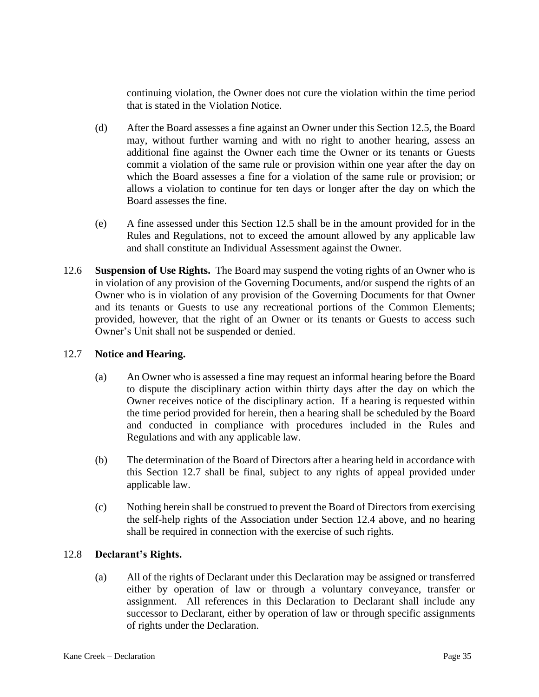continuing violation, the Owner does not cure the violation within the time period that is stated in the Violation Notice.

- (d) After the Board assesses a fine against an Owner under this Section 12.5, the Board may, without further warning and with no right to another hearing, assess an additional fine against the Owner each time the Owner or its tenants or Guests commit a violation of the same rule or provision within one year after the day on which the Board assesses a fine for a violation of the same rule or provision; or allows a violation to continue for ten days or longer after the day on which the Board assesses the fine.
- (e) A fine assessed under this Section 12.5 shall be in the amount provided for in the Rules and Regulations, not to exceed the amount allowed by any applicable law and shall constitute an Individual Assessment against the Owner.
- 12.6 **Suspension of Use Rights.** The Board may suspend the voting rights of an Owner who is in violation of any provision of the Governing Documents, and/or suspend the rights of an Owner who is in violation of any provision of the Governing Documents for that Owner and its tenants or Guests to use any recreational portions of the Common Elements; provided, however, that the right of an Owner or its tenants or Guests to access such Owner's Unit shall not be suspended or denied.

#### 12.7 **Notice and Hearing.**

- (a) An Owner who is assessed a fine may request an informal hearing before the Board to dispute the disciplinary action within thirty days after the day on which the Owner receives notice of the disciplinary action. If a hearing is requested within the time period provided for herein, then a hearing shall be scheduled by the Board and conducted in compliance with procedures included in the Rules and Regulations and with any applicable law.
- (b) The determination of the Board of Directors after a hearing held in accordance with this Section 12.7 shall be final, subject to any rights of appeal provided under applicable law.
- (c) Nothing herein shall be construed to prevent the Board of Directors from exercising the self-help rights of the Association under Section 12.4 above, and no hearing shall be required in connection with the exercise of such rights.

# 12.8 **Declarant's Rights.**

(a) All of the rights of Declarant under this Declaration may be assigned or transferred either by operation of law or through a voluntary conveyance, transfer or assignment. All references in this Declaration to Declarant shall include any successor to Declarant, either by operation of law or through specific assignments of rights under the Declaration.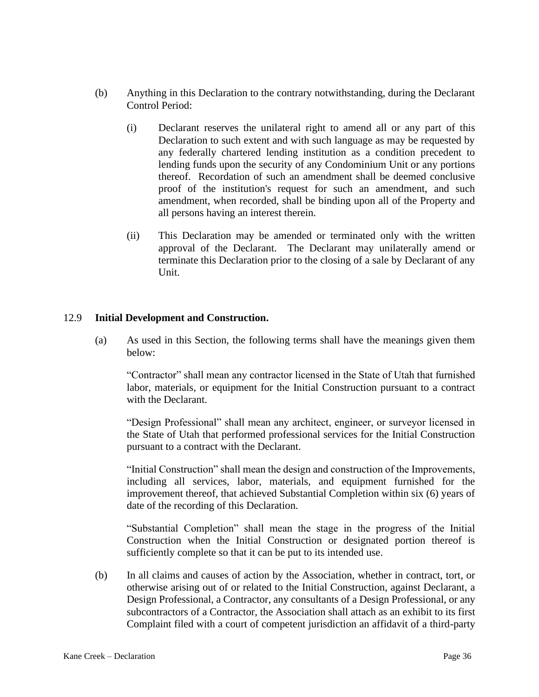- (b) Anything in this Declaration to the contrary notwithstanding, during the Declarant Control Period:
	- (i) Declarant reserves the unilateral right to amend all or any part of this Declaration to such extent and with such language as may be requested by any federally chartered lending institution as a condition precedent to lending funds upon the security of any Condominium Unit or any portions thereof. Recordation of such an amendment shall be deemed conclusive proof of the institution's request for such an amendment, and such amendment, when recorded, shall be binding upon all of the Property and all persons having an interest therein.
	- (ii) This Declaration may be amended or terminated only with the written approval of the Declarant. The Declarant may unilaterally amend or terminate this Declaration prior to the closing of a sale by Declarant of any Unit.

#### 12.9 **Initial Development and Construction.**

(a) As used in this Section, the following terms shall have the meanings given them below:

"Contractor" shall mean any contractor licensed in the State of Utah that furnished labor, materials, or equipment for the Initial Construction pursuant to a contract with the Declarant.

"Design Professional" shall mean any architect, engineer, or surveyor licensed in the State of Utah that performed professional services for the Initial Construction pursuant to a contract with the Declarant.

"Initial Construction" shall mean the design and construction of the Improvements, including all services, labor, materials, and equipment furnished for the improvement thereof, that achieved Substantial Completion within six (6) years of date of the recording of this Declaration.

"Substantial Completion" shall mean the stage in the progress of the Initial Construction when the Initial Construction or designated portion thereof is sufficiently complete so that it can be put to its intended use.

(b) In all claims and causes of action by the Association, whether in contract, tort, or otherwise arising out of or related to the Initial Construction, against Declarant, a Design Professional, a Contractor, any consultants of a Design Professional, or any subcontractors of a Contractor, the Association shall attach as an exhibit to its first Complaint filed with a court of competent jurisdiction an affidavit of a third-party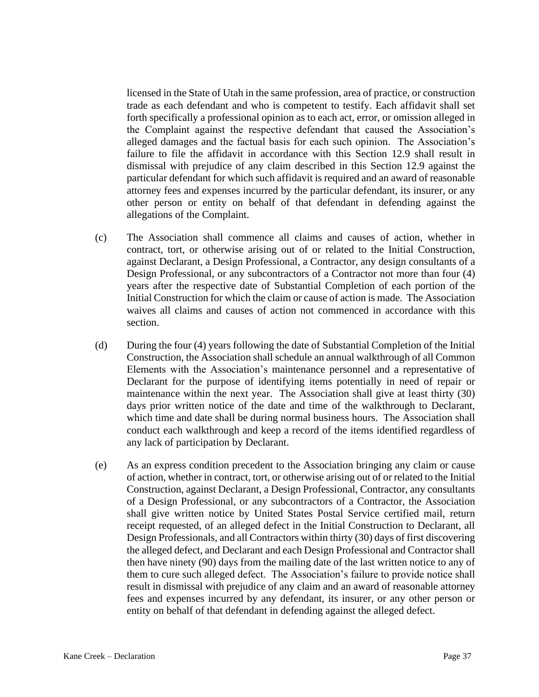licensed in the State of Utah in the same profession, area of practice, or construction trade as each defendant and who is competent to testify. Each affidavit shall set forth specifically a professional opinion as to each act, error, or omission alleged in the Complaint against the respective defendant that caused the Association's alleged damages and the factual basis for each such opinion. The Association's failure to file the affidavit in accordance with this Section 12.9 shall result in dismissal with prejudice of any claim described in this Section 12.9 against the particular defendant for which such affidavit is required and an award of reasonable attorney fees and expenses incurred by the particular defendant, its insurer, or any other person or entity on behalf of that defendant in defending against the allegations of the Complaint.

- (c) The Association shall commence all claims and causes of action, whether in contract, tort, or otherwise arising out of or related to the Initial Construction, against Declarant, a Design Professional, a Contractor, any design consultants of a Design Professional, or any subcontractors of a Contractor not more than four (4) years after the respective date of Substantial Completion of each portion of the Initial Construction for which the claim or cause of action is made. The Association waives all claims and causes of action not commenced in accordance with this section.
- (d) During the four (4) years following the date of Substantial Completion of the Initial Construction, the Association shall schedule an annual walkthrough of all Common Elements with the Association's maintenance personnel and a representative of Declarant for the purpose of identifying items potentially in need of repair or maintenance within the next year. The Association shall give at least thirty (30) days prior written notice of the date and time of the walkthrough to Declarant, which time and date shall be during normal business hours. The Association shall conduct each walkthrough and keep a record of the items identified regardless of any lack of participation by Declarant.
- (e) As an express condition precedent to the Association bringing any claim or cause of action, whether in contract, tort, or otherwise arising out of or related to the Initial Construction, against Declarant, a Design Professional, Contractor, any consultants of a Design Professional, or any subcontractors of a Contractor, the Association shall give written notice by United States Postal Service certified mail, return receipt requested, of an alleged defect in the Initial Construction to Declarant, all Design Professionals, and all Contractors within thirty (30) days of first discovering the alleged defect, and Declarant and each Design Professional and Contractor shall then have ninety (90) days from the mailing date of the last written notice to any of them to cure such alleged defect. The Association's failure to provide notice shall result in dismissal with prejudice of any claim and an award of reasonable attorney fees and expenses incurred by any defendant, its insurer, or any other person or entity on behalf of that defendant in defending against the alleged defect.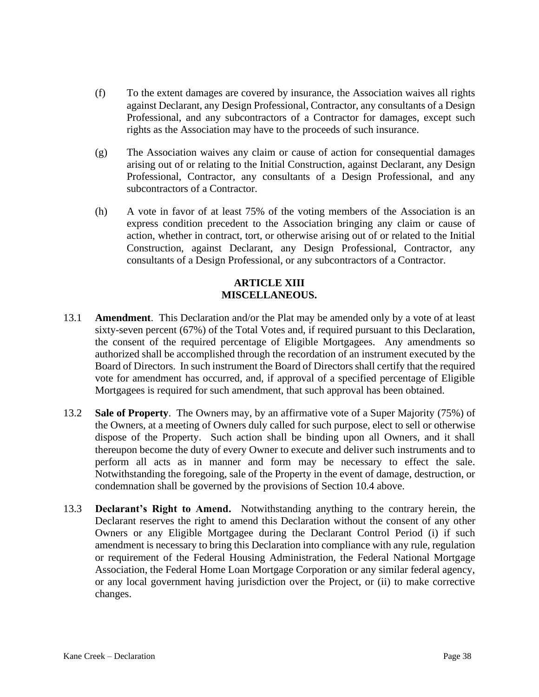- (f) To the extent damages are covered by insurance, the Association waives all rights against Declarant, any Design Professional, Contractor, any consultants of a Design Professional, and any subcontractors of a Contractor for damages, except such rights as the Association may have to the proceeds of such insurance.
- (g) The Association waives any claim or cause of action for consequential damages arising out of or relating to the Initial Construction, against Declarant, any Design Professional, Contractor, any consultants of a Design Professional, and any subcontractors of a Contractor.
- (h) A vote in favor of at least 75% of the voting members of the Association is an express condition precedent to the Association bringing any claim or cause of action, whether in contract, tort, or otherwise arising out of or related to the Initial Construction, against Declarant, any Design Professional, Contractor, any consultants of a Design Professional, or any subcontractors of a Contractor.

#### **ARTICLE XIII MISCELLANEOUS.**

- 13.1 **Amendment**. This Declaration and/or the Plat may be amended only by a vote of at least sixty-seven percent (67%) of the Total Votes and, if required pursuant to this Declaration, the consent of the required percentage of Eligible Mortgagees. Any amendments so authorized shall be accomplished through the recordation of an instrument executed by the Board of Directors. In such instrument the Board of Directors shall certify that the required vote for amendment has occurred, and, if approval of a specified percentage of Eligible Mortgagees is required for such amendment, that such approval has been obtained.
- 13.2 **Sale of Property**. The Owners may, by an affirmative vote of a Super Majority (75%) of the Owners, at a meeting of Owners duly called for such purpose, elect to sell or otherwise dispose of the Property. Such action shall be binding upon all Owners, and it shall thereupon become the duty of every Owner to execute and deliver such instruments and to perform all acts as in manner and form may be necessary to effect the sale. Notwithstanding the foregoing, sale of the Property in the event of damage, destruction, or condemnation shall be governed by the provisions of Section 10.4 above.
- 13.3 **Declarant's Right to Amend.** Notwithstanding anything to the contrary herein, the Declarant reserves the right to amend this Declaration without the consent of any other Owners or any Eligible Mortgagee during the Declarant Control Period (i) if such amendment is necessary to bring this Declaration into compliance with any rule, regulation or requirement of the Federal Housing Administration, the Federal National Mortgage Association, the Federal Home Loan Mortgage Corporation or any similar federal agency, or any local government having jurisdiction over the Project, or (ii) to make corrective changes.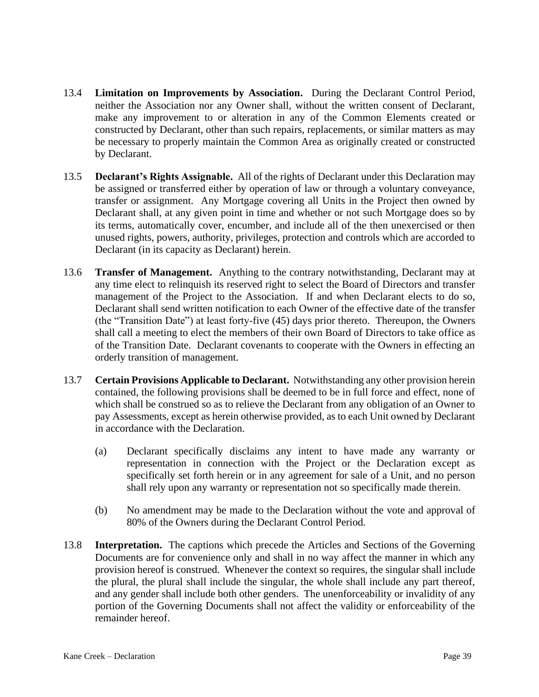- 13.4 **Limitation on Improvements by Association.** During the Declarant Control Period, neither the Association nor any Owner shall, without the written consent of Declarant, make any improvement to or alteration in any of the Common Elements created or constructed by Declarant, other than such repairs, replacements, or similar matters as may be necessary to properly maintain the Common Area as originally created or constructed by Declarant.
- 13.5 **Declarant's Rights Assignable.** All of the rights of Declarant under this Declaration may be assigned or transferred either by operation of law or through a voluntary conveyance, transfer or assignment. Any Mortgage covering all Units in the Project then owned by Declarant shall, at any given point in time and whether or not such Mortgage does so by its terms, automatically cover, encumber, and include all of the then unexercised or then unused rights, powers, authority, privileges, protection and controls which are accorded to Declarant (in its capacity as Declarant) herein.
- 13.6 **Transfer of Management.** Anything to the contrary notwithstanding, Declarant may at any time elect to relinquish its reserved right to select the Board of Directors and transfer management of the Project to the Association. If and when Declarant elects to do so, Declarant shall send written notification to each Owner of the effective date of the transfer (the "Transition Date") at least forty-five (45) days prior thereto. Thereupon, the Owners shall call a meeting to elect the members of their own Board of Directors to take office as of the Transition Date. Declarant covenants to cooperate with the Owners in effecting an orderly transition of management.
- 13.7 **Certain Provisions Applicable to Declarant.** Notwithstanding any other provision herein contained, the following provisions shall be deemed to be in full force and effect, none of which shall be construed so as to relieve the Declarant from any obligation of an Owner to pay Assessments, except as herein otherwise provided, as to each Unit owned by Declarant in accordance with the Declaration.
	- (a) Declarant specifically disclaims any intent to have made any warranty or representation in connection with the Project or the Declaration except as specifically set forth herein or in any agreement for sale of a Unit, and no person shall rely upon any warranty or representation not so specifically made therein.
	- (b) No amendment may be made to the Declaration without the vote and approval of 80% of the Owners during the Declarant Control Period.
- 13.8 **Interpretation.** The captions which precede the Articles and Sections of the Governing Documents are for convenience only and shall in no way affect the manner in which any provision hereof is construed. Whenever the context so requires, the singular shall include the plural, the plural shall include the singular, the whole shall include any part thereof, and any gender shall include both other genders. The unenforceability or invalidity of any portion of the Governing Documents shall not affect the validity or enforceability of the remainder hereof.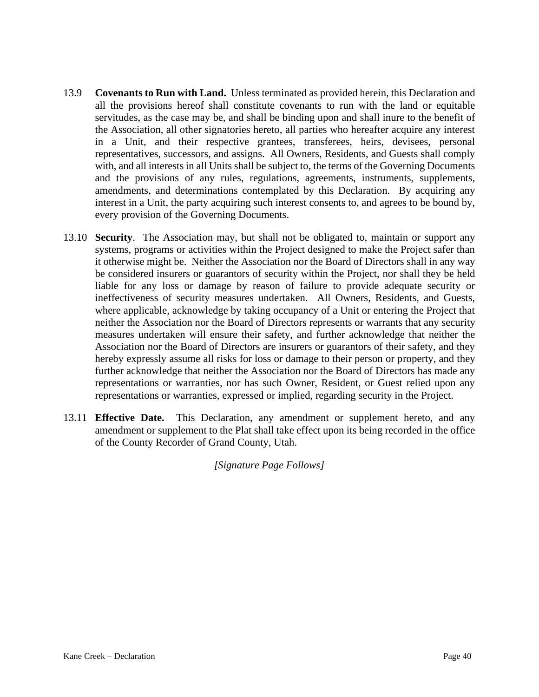- 13.9 **Covenants to Run with Land.** Unless terminated as provided herein, this Declaration and all the provisions hereof shall constitute covenants to run with the land or equitable servitudes, as the case may be, and shall be binding upon and shall inure to the benefit of the Association, all other signatories hereto, all parties who hereafter acquire any interest in a Unit, and their respective grantees, transferees, heirs, devisees, personal representatives, successors, and assigns. All Owners, Residents, and Guests shall comply with, and all interests in all Units shall be subject to, the terms of the Governing Documents and the provisions of any rules, regulations, agreements, instruments, supplements, amendments, and determinations contemplated by this Declaration. By acquiring any interest in a Unit, the party acquiring such interest consents to, and agrees to be bound by, every provision of the Governing Documents.
- 13.10 **Security**. The Association may, but shall not be obligated to, maintain or support any systems, programs or activities within the Project designed to make the Project safer than it otherwise might be. Neither the Association nor the Board of Directors shall in any way be considered insurers or guarantors of security within the Project, nor shall they be held liable for any loss or damage by reason of failure to provide adequate security or ineffectiveness of security measures undertaken. All Owners, Residents, and Guests, where applicable, acknowledge by taking occupancy of a Unit or entering the Project that neither the Association nor the Board of Directors represents or warrants that any security measures undertaken will ensure their safety, and further acknowledge that neither the Association nor the Board of Directors are insurers or guarantors of their safety, and they hereby expressly assume all risks for loss or damage to their person or property, and they further acknowledge that neither the Association nor the Board of Directors has made any representations or warranties, nor has such Owner, Resident, or Guest relied upon any representations or warranties, expressed or implied, regarding security in the Project.
- 13.11 **Effective Date.** This Declaration, any amendment or supplement hereto, and any amendment or supplement to the Plat shall take effect upon its being recorded in the office of the County Recorder of Grand County, Utah.

*[Signature Page Follows]*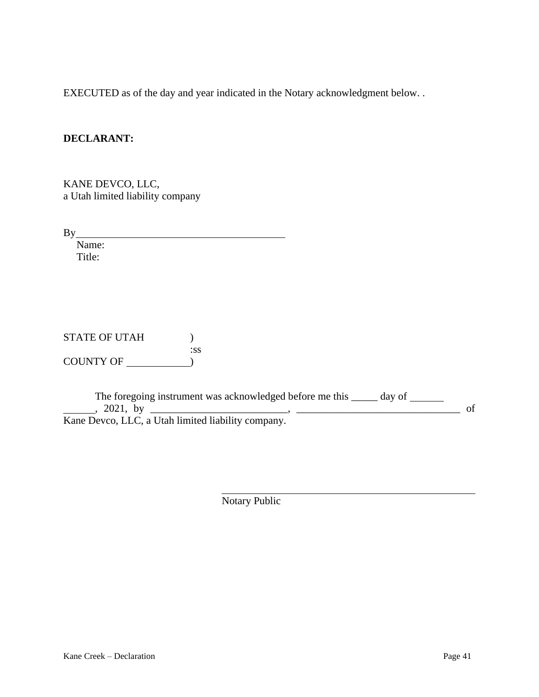EXECUTED as of the day and year indicated in the Notary acknowledgment below. .

# **DECLARANT:**

KANE DEVCO, LLC, a Utah limited liability company

By

 Name: Title:

| STATE OF UTAH |     |
|---------------|-----|
|               | *SS |
| COUNTY OF     |     |

The foregoing instrument was acknowledged before me this \_\_\_\_\_ day of \_\_\_\_\_\_ , 2021, by \_\_\_\_\_\_\_\_\_\_\_\_\_\_\_\_\_\_\_\_\_\_\_\_\_\_, \_\_\_\_\_\_\_\_\_\_\_\_\_\_\_\_\_\_\_\_\_\_\_\_\_\_\_\_\_\_\_ of Kane Devco, LLC, a Utah limited liability company.

Notary Public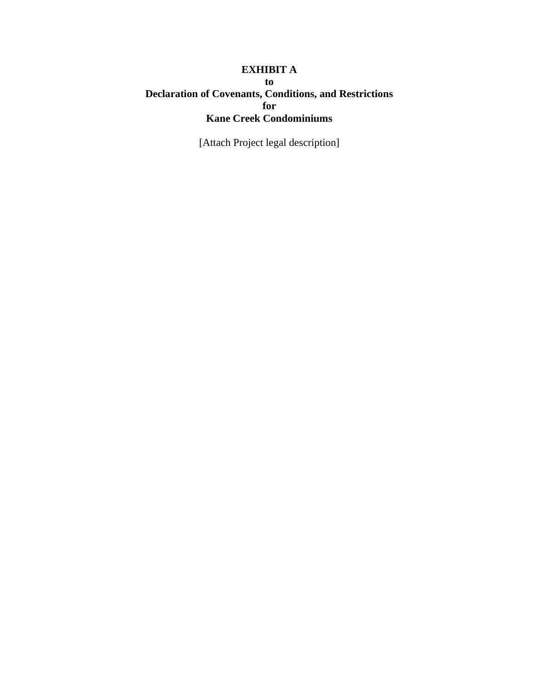# **EXHIBIT A to Declaration of Covenants, Conditions, and Restrictions for Kane Creek Condominiums**

[Attach Project legal description]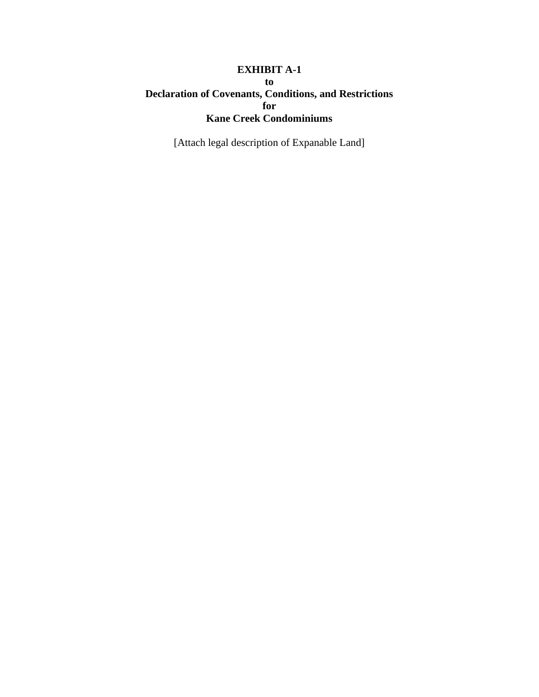# **EXHIBIT A-1 to Declaration of Covenants, Conditions, and Restrictions for Kane Creek Condominiums**

[Attach legal description of Expanable Land]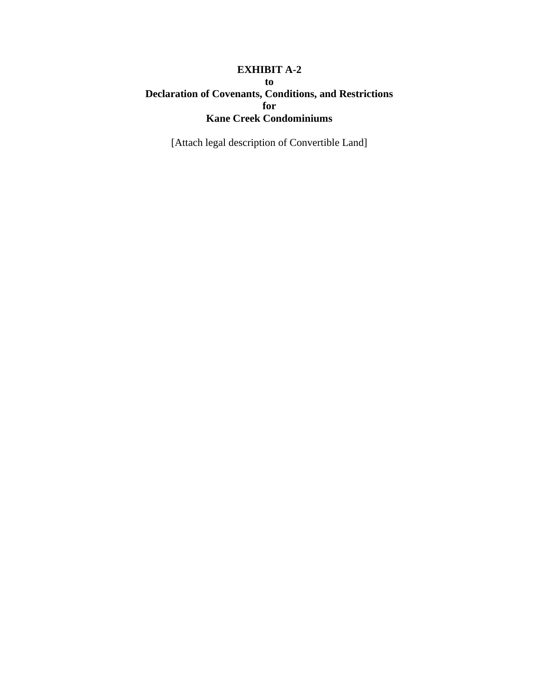# **EXHIBIT A-2 to Declaration of Covenants, Conditions, and Restrictions for Kane Creek Condominiums**

[Attach legal description of Convertible Land]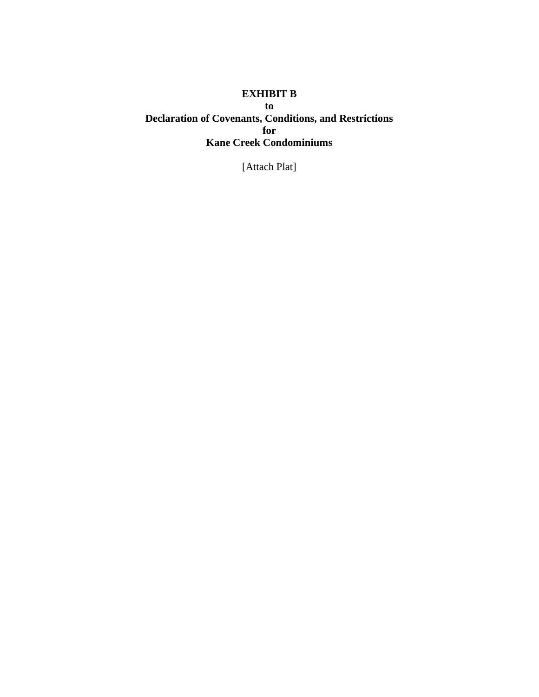# **EXHIBIT B to Declaration of Covenants, Conditions, and Restrictions for Kane Creek Condominiums**

[Attach Plat]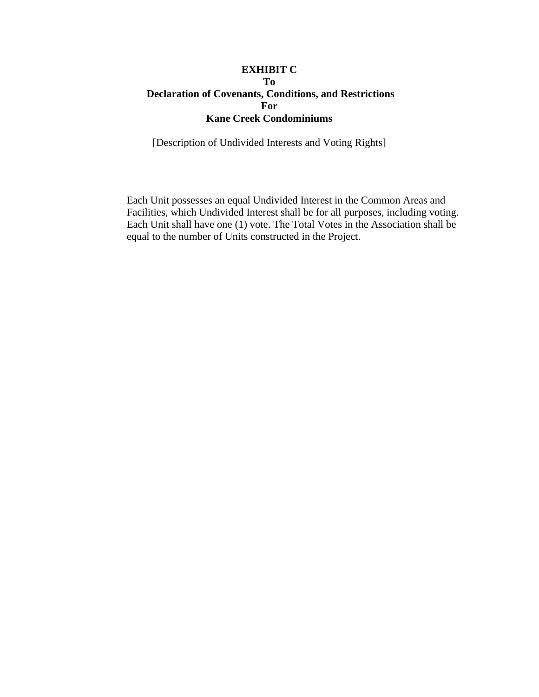#### **EXHIBIT C To Declaration of Covenants, Conditions, and Restrictions For Kane Creek Condominiums**

[Description of Undivided Interests and Voting Rights]

Each Unit possesses an equal Undivided Interest in the Common Areas and Facilities, which Undivided Interest shall be for all purposes, including voting. Each Unit shall have one (1) vote. The Total Votes in the Association shall be equal to the number of Units constructed in the Project.